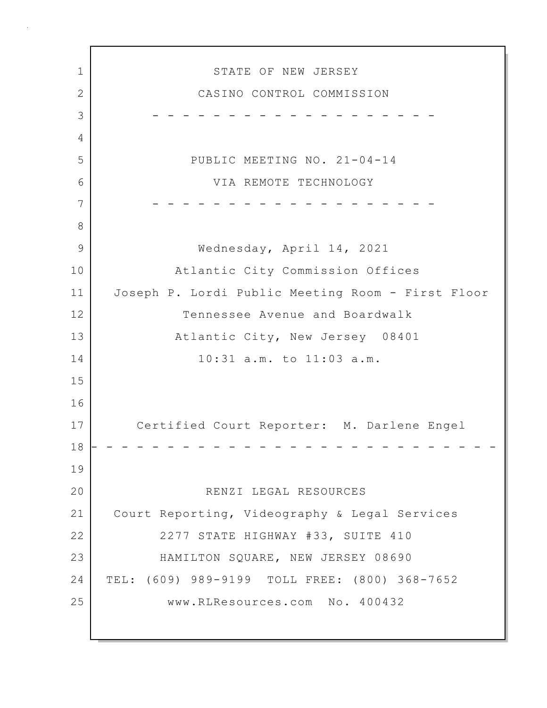1 STATE OF NEW JERSEY 2 CASINO CONTROL COMMISSION 3 - - - - - - - - - - - - - - - - - - - 4 5 PUBLIC MEETING NO. 21-04-14 6 VIA REMOTE TECHNOLOGY 7 - - - - - - - - - - - - - - - - - - - 8 9 Wednesday, April 14, 2021 10 Atlantic City Commission Offices 11 Joseph P. Lordi Public Meeting Room - First Floor 12 Tennessee Avenue and Boardwalk 13 Atlantic City, New Jersey 08401 14 10:31 a.m. to 11:03 a.m. 15 16 17 Certified Court Reporter: M. Darlene Engel 18 - - - - - - - - - - - - - - - - - - - - - - - - - - - 19 20 RENZI LEGAL RESOURCES 21 Court Reporting, Videography & Legal Services 22 2277 STATE HIGHWAY #33, SUITE 410 23 HAMILTON SQUARE, NEW JERSEY 08690 24 TEL: (609) 989-9199 TOLL FREE: (800) 368-7652 25 www.RLResources.com No. 400432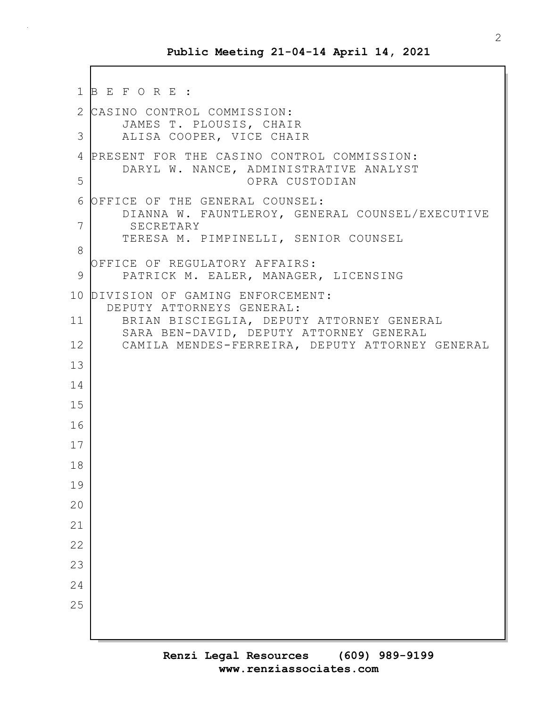```
1 B E F O R E :
2 CASINO CONTROL COMMISSION:
       JAMES T. PLOUSIS, CHAIR
3 ALISA COOPER, VICE CHAIR
4 PRESENT FOR THE CASINO CONTROL COMMISSION:
       DARYL W. NANCE, ADMINISTRATIVE ANALYST
5 OPRA CUSTODIAN
 6 OFFICE OF THE GENERAL COUNSEL:
       DIANNA W. FAUNTLEROY, GENERAL COUNSEL/EXECUTIVE
7 SECRETARY
       TERESA M. PIMPINELLI, SENIOR COUNSEL
8
  OFFICE OF REGULATORY AFFAIRS:
 9 PATRICK M. EALER, MANAGER, LICENSING
10 DIVISION OF GAMING ENFORCEMENT:
     DEPUTY ATTORNEYS GENERAL:
11 BRIAN BISCIEGLIA, DEPUTY ATTORNEY GENERAL
       SARA BEN-DAVID, DEPUTY ATTORNEY GENERAL
12 CAMILA MENDES-FERREIRA, DEPUTY ATTORNEY GENERAL
13
14
15
16
17
18
19
20
21
22
23
24
25
```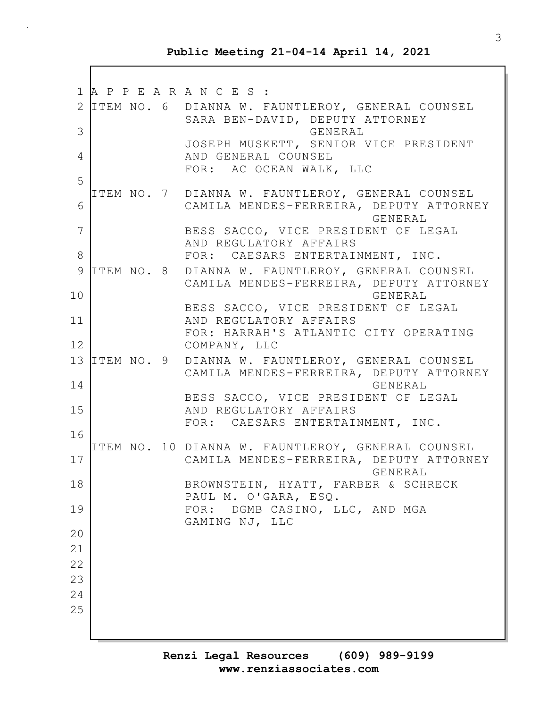**Public Meeting 21-04-14 April 14, 2021**

|         |  | 1 A P P E A R A N C E S :                                                                              |
|---------|--|--------------------------------------------------------------------------------------------------------|
| 3       |  | 2 ITEM NO. 6 DIANNA W. FAUNTLEROY, GENERAL COUNSEL<br>SARA BEN-DAVID, DEPUTY ATTORNEY<br>GENERAL       |
|         |  | JOSEPH MUSKETT, SENIOR VICE PRESIDENT                                                                  |
| 4       |  | AND GENERAL COUNSEL<br>FOR: AC OCEAN WALK, LLC                                                         |
| 5       |  | ITEM NO. 7 DIANNA W. FAUNTLEROY, GENERAL COUNSEL                                                       |
| 6       |  | CAMILA MENDES-FERREIRA, DEPUTY ATTORNEY<br>GENERAL                                                     |
| 7       |  | BESS SACCO, VICE PRESIDENT OF LEGAL<br>AND REGULATORY AFFAIRS                                          |
| 8       |  | FOR: CAESARS ENTERTAINMENT, INC.                                                                       |
| 9<br>10 |  | ITEM NO. 8 DIANNA W. FAUNTLEROY, GENERAL COUNSEL<br>CAMILA MENDES-FERREIRA, DEPUTY ATTORNEY<br>GENERAL |
|         |  | BESS SACCO, VICE PRESIDENT OF LEGAL                                                                    |
| 11      |  | AND REGULATORY AFFAIRS<br>FOR: HARRAH'S ATLANTIC CITY OPERATING                                        |
| 12      |  | COMPANY, LLC                                                                                           |
|         |  | 13 ITEM NO. 9 DIANNA W. FAUNTLEROY, GENERAL COUNSEL<br>CAMILA MENDES-FERREIRA, DEPUTY ATTORNEY         |
| 14      |  | GENERAL                                                                                                |
| 15      |  | BESS SACCO, VICE PRESIDENT OF LEGAL<br>AND REGULATORY AFFAIRS                                          |
| 16      |  | FOR: CAESARS ENTERTAINMENT, INC.                                                                       |
|         |  | ITEM NO. 10 DIANNA W. FAUNTLEROY, GENERAL COUNSEL                                                      |
| 17      |  | CAMILA MENDES-FERREIRA, DEPUTY ATTORNEY                                                                |
| 18      |  | GENERAL<br>BROWNSTEIN, HYATT, FARBER & SCHRECK                                                         |
|         |  | PAUL M. O'GARA, ESQ.                                                                                   |
| 19      |  | FOR: DGMB CASINO, LLC, AND MGA<br>GAMING NJ, LLC                                                       |
| 20      |  |                                                                                                        |
| 21      |  |                                                                                                        |
| 22      |  |                                                                                                        |
| 23      |  |                                                                                                        |
| 24      |  |                                                                                                        |
| 25      |  |                                                                                                        |
|         |  |                                                                                                        |
|         |  |                                                                                                        |
|         |  |                                                                                                        |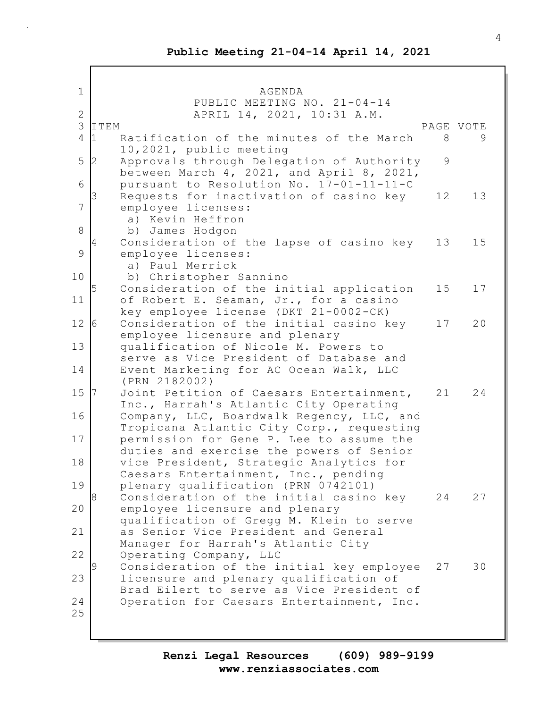1 AGENDA PUBLIC MEETING NO. 21-04-14 2 APRIL 14, 2021, 10:31 A.M. 3 ITEM PAGE VOTE 4 1 Ratification of the minutes of the March 8 9 10,2021, public meeting 5 2 Approvals through Delegation of Authority 9 between March 4, 2021, and April 8, 2021, 6 pursuant to Resolution No. 17-01-11-11-C Requests for inactivation of casino key 12 13 7 employee licenses: a) Kevin Heffron 8 b) James Hodgon Consideration of the lapse of casino key 13 15 9 employee licenses: a) Paul Merrick 10 b) Christopher Sannino Consideration of the initial application 15 17 11 of Robert E. Seaman, Jr., for a casino key employee license (DKT 21-0002-CK) 12 6 Consideration of the initial casino key 17 20 employee licensure and plenary 13 qualification of Nicole M. Powers to serve as Vice President of Database and 14 Event Marketing for AC Ocean Walk, LLC (PRN 2182002) 15 7 Joint Petition of Caesars Entertainment, 21 24 Inc., Harrah's Atlantic City Operating 16 Company, LLC, Boardwalk Regency, LLC, and Tropicana Atlantic City Corp., requesting 17 permission for Gene P. Lee to assume the duties and exercise the powers of Senior 18 vice President, Strategic Analytics for Caesars Entertainment, Inc., pending 19 plenary qualification (PRN 0742101) Consideration of the initial casino key  $24$  27 20 employee licensure and plenary qualification of Gregg M. Klein to serve 21 as Senior Vice President and General Manager for Harrah's Atlantic City 22 Operating Company, LLC Consideration of the initial key employee 27 30 23 licensure and plenary qualification of Brad Eilert to serve as Vice President of 24 Operation for Caesars Entertainment, Inc. 25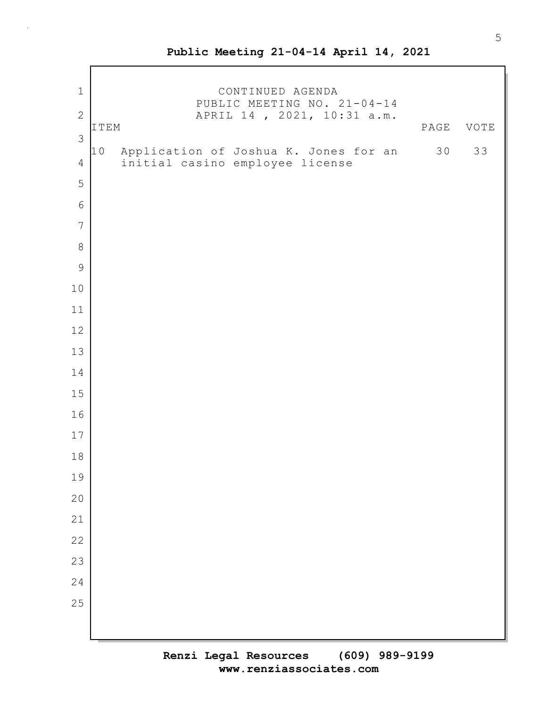| $1\,$                     | CONTINUED AGENDA<br>PUBLIC MEETING NO. 21-04-14 |      |      |  |  |  |
|---------------------------|-------------------------------------------------|------|------|--|--|--|
| $\mathbf{2}$              | APRIL 14, 2021, 10:31 a.m.<br>ITEM              | PAGE | VOTE |  |  |  |
| 3                         | Application of Joshua K. Jones for an<br>10     | 30   | 33   |  |  |  |
| $\overline{4}$            | initial casino employee license                 |      |      |  |  |  |
| 5                         |                                                 |      |      |  |  |  |
| $6\,$                     |                                                 |      |      |  |  |  |
| $\overline{7}$<br>$\,8\,$ |                                                 |      |      |  |  |  |
| $\mathcal{G}$             |                                                 |      |      |  |  |  |
| 10                        |                                                 |      |      |  |  |  |
| $11$                      |                                                 |      |      |  |  |  |
| $12$                      |                                                 |      |      |  |  |  |
| 13                        |                                                 |      |      |  |  |  |
| 14                        |                                                 |      |      |  |  |  |
| 15                        |                                                 |      |      |  |  |  |
| 16                        |                                                 |      |      |  |  |  |
| $17$                      |                                                 |      |      |  |  |  |
| $18\,$                    |                                                 |      |      |  |  |  |
| 19                        |                                                 |      |      |  |  |  |
| 20                        |                                                 |      |      |  |  |  |
| 21                        |                                                 |      |      |  |  |  |
| 22                        |                                                 |      |      |  |  |  |
| 23                        |                                                 |      |      |  |  |  |
| 24                        |                                                 |      |      |  |  |  |
| 25                        |                                                 |      |      |  |  |  |
|                           |                                                 |      |      |  |  |  |

 $\Gamma$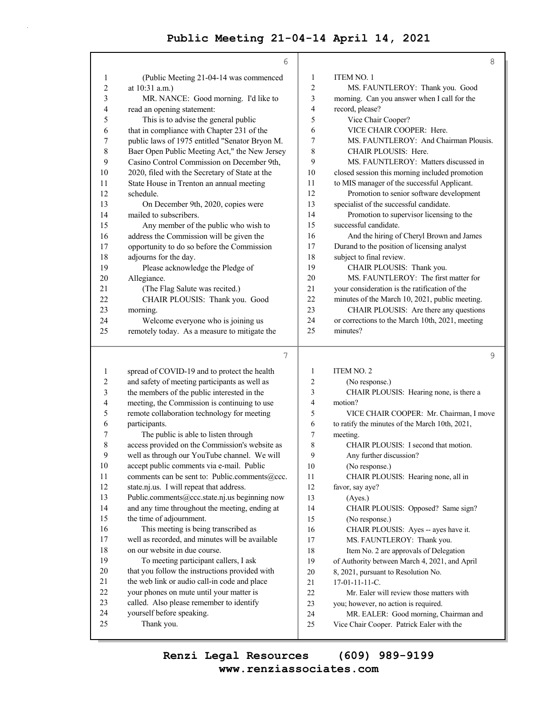|                         | 6                                              |                | 8                                               |
|-------------------------|------------------------------------------------|----------------|-------------------------------------------------|
| $\mathbf{1}$            | (Public Meeting 21-04-14 was commenced         | 1              | <b>ITEM NO. 1</b>                               |
| $\sqrt{2}$              | at 10:31 a.m.)                                 | $\overline{c}$ | MS. FAUNTLEROY: Thank you. Good                 |
| 3                       | MR. NANCE: Good morning. I'd like to           | 3              | morning. Can you answer when I call for the     |
| 4                       | read an opening statement:                     | 4              | record, please?                                 |
| 5                       | This is to advise the general public           | 5              | Vice Chair Cooper?                              |
| 6                       | that in compliance with Chapter 231 of the     | 6              | VICE CHAIR COOPER: Here.                        |
| 7                       | public laws of 1975 entitled "Senator Bryon M. | 7              | MS. FAUNTLEROY: And Chairman Plousis.           |
| 8                       | Baer Open Public Meeting Act," the New Jersey  | 8              | CHAIR PLOUSIS: Here.                            |
| 9                       | Casino Control Commission on December 9th,     | 9              | MS. FAUNTLEROY: Matters discussed in            |
| 10                      | 2020, filed with the Secretary of State at the | 10             | closed session this morning included promotion  |
| 11                      | State House in Trenton an annual meeting       | 11             | to MIS manager of the successful Applicant.     |
| 12                      | schedule.                                      | 12             | Promotion to senior software development        |
| 13                      | On December 9th, 2020, copies were             | 13             | specialist of the successful candidate.         |
| 14                      | mailed to subscribers.                         | 14             | Promotion to supervisor licensing to the        |
| 15                      | Any member of the public who wish to           | 15             | successful candidate.                           |
| 16                      | address the Commission will be given the       | 16             | And the hiring of Cheryl Brown and James        |
| 17                      | opportunity to do so before the Commission     | 17             | Durand to the position of licensing analyst     |
| 18                      | adjourns for the day.                          | 18             | subject to final review.                        |
| 19                      | Please acknowledge the Pledge of               | 19             | CHAIR PLOUSIS: Thank you.                       |
| 20                      | Allegiance.                                    | 20             | MS. FAUNTLEROY: The first matter for            |
| 21                      | (The Flag Salute was recited.)                 | 21             | your consideration is the ratification of the   |
| 22                      | CHAIR PLOUSIS: Thank you. Good                 | 22             | minutes of the March 10, 2021, public meeting.  |
| 23                      | morning.                                       | 23             | CHAIR PLOUSIS: Are there any questions          |
| 24                      | Welcome everyone who is joining us             | 24             | or corrections to the March 10th, 2021, meeting |
| 25                      | remotely today. As a measure to mitigate the   | 25             | minutes?                                        |
|                         | $\overline{7}$                                 |                |                                                 |
|                         |                                                |                | 9                                               |
| 1                       | spread of COVID-19 and to protect the health   | 1              | <b>ITEM NO. 2</b>                               |
| $\overline{\mathbf{c}}$ | and safety of meeting participants as well as  | $\overline{c}$ | (No response.)                                  |
| 3                       | the members of the public interested in the    | 3              | CHAIR PLOUSIS: Hearing none, is there a         |
| 4                       | meeting, the Commission is continuing to use   | 4              | motion?                                         |
| 5                       | remote collaboration technology for meeting    | 5              | VICE CHAIR COOPER: Mr. Chairman, I move         |
| 6                       | participants.                                  | 6              | to ratify the minutes of the March 10th, 2021,  |
| 7                       | The public is able to listen through           | 7              | meeting.                                        |
| 8                       | access provided on the Commission's website as | 8              | CHAIR PLOUSIS: I second that motion.            |
| 9                       | well as through our YouTube channel. We will   | 9              | Any further discussion?                         |
| $10\,$                  | accept public comments via e-mail. Public      | 10             | (No response.)                                  |
| 11                      | comments can be sent to: Public.comments@ccc.  | $1\,1$         | CHAIR PLOUSIS: Hearing none, all in             |
| $12\,$                  | state.nj.us. I will repeat that address.       | 12             | favor, say aye?                                 |
| 13                      | Public.comments@ccc.state.nj.us beginning now  | 13             | (Ayes.)                                         |
| 14                      | and any time throughout the meeting, ending at | 14             | CHAIR PLOUSIS: Opposed? Same sign?              |
| 15                      | the time of adjournment.                       | 15             | (No response.)                                  |
| 16                      | This meeting is being transcribed as           | 16             | CHAIR PLOUSIS: Ayes -- ayes have it.            |

16 This meeting is being transcribed as 17 well as recorded, and minutes will be available 18 on our website in due course. 19 To meeting participant callers, I ask 20 that you follow the instructions provided with 21 the web link or audio call-in code and place 22 your phones on mute until your matter is 23 called. Also please remember to identify 24 yourself before speaking. 25 Thank you.

## **www.renziassociates.com Renzi Legal Resources (609) 989-9199**

17 MS. FAUNTLEROY: Thank you. 18 Item No. 2 are approvals of Delegation 19 of Authority between March 4, 2021, and April

20 8, 2021, pursuant to Resolution No.

22 Mr. Ealer will review those matters with 23 you; however, no action is required.

24 MR. EALER: Good morning, Chairman and 25 Vice Chair Cooper. Patrick Ealer with the

21 17-01-11-11-C.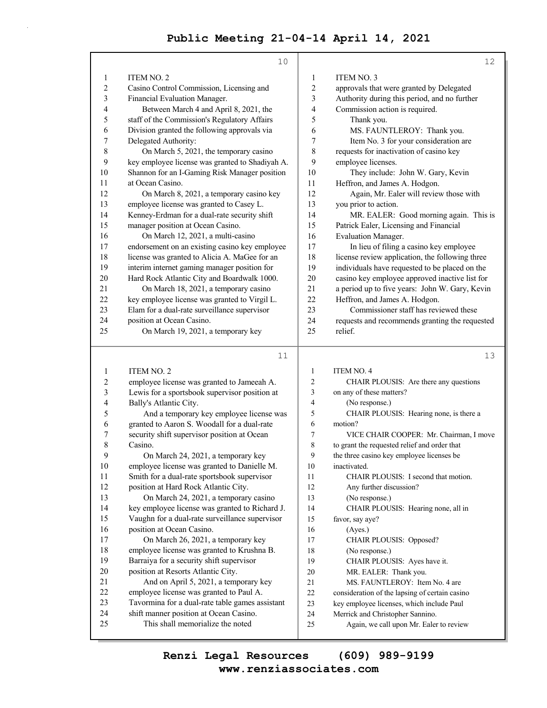|             | 10                                                                                        |         | 12                                                                            |
|-------------|-------------------------------------------------------------------------------------------|---------|-------------------------------------------------------------------------------|
| 1           | ITEM NO. 2                                                                                | 1       | ITEM NO. 3                                                                    |
| 2           | Casino Control Commission, Licensing and                                                  | 2       | approvals that were granted by Delegated                                      |
| 3           | Financial Evaluation Manager.                                                             | 3       | Authority during this period, and no further                                  |
| 4           | Between March 4 and April 8, 2021, the                                                    | 4       | Commission action is required.                                                |
| 5           | staff of the Commission's Regulatory Affairs                                              | 5       | Thank you.                                                                    |
| 6           | Division granted the following approvals via                                              | 6       | MS. FAUNTLEROY: Thank you.                                                    |
| 7           | Delegated Authority:                                                                      | 7       | Item No. 3 for your consideration are                                         |
| $\,$ 8 $\,$ | On March 5, 2021, the temporary casino                                                    | 8       | requests for inactivation of casino key                                       |
| 9           | key employee license was granted to Shadiyah A.                                           | 9       | employee licenses.                                                            |
| 10          | Shannon for an I-Gaming Risk Manager position                                             | 10      | They include: John W. Gary, Kevin                                             |
| 11          | at Ocean Casino.                                                                          | 11      | Heffron, and James A. Hodgon.                                                 |
| 12          | On March 8, 2021, a temporary casino key                                                  | 12      | Again, Mr. Ealer will review those with                                       |
| 13          | employee license was granted to Casey L.                                                  | 13      | you prior to action.                                                          |
| 14          | Kenney-Erdman for a dual-rate security shift                                              | 14      | MR. EALER: Good morning again. This is                                        |
| 15          | manager position at Ocean Casino.                                                         | 15      | Patrick Ealer, Licensing and Financial                                        |
| 16          | On March 12, 2021, a multi-casino                                                         | 16      | Evaluation Manager.                                                           |
| 17          | endorsement on an existing casino key employee                                            | 17      | In lieu of filing a casino key employee                                       |
| 18          | license was granted to Alicia A. MaGee for an                                             | 18      | license review application, the following three                               |
| 19          | interim internet gaming manager position for                                              | 19      | individuals have requested to be placed on the                                |
| 20          | Hard Rock Atlantic City and Boardwalk 1000.                                               | 20      | casino key employee approved inactive list for                                |
| 21          | On March 18, 2021, a temporary casino                                                     | 21      | a period up to five years: John W. Gary, Kevin                                |
| 22          | key employee license was granted to Virgil L.                                             | 22      | Heffron, and James A. Hodgon.                                                 |
| 23          | Elam for a dual-rate surveillance supervisor                                              | 23      | Commissioner staff has reviewed these                                         |
| 24          | position at Ocean Casino.                                                                 | 24      | requests and recommends granting the requested                                |
| 25          | On March 19, 2021, a temporary key                                                        | 25      | relief.                                                                       |
|             |                                                                                           |         |                                                                               |
|             | 11                                                                                        |         | 13                                                                            |
|             |                                                                                           |         |                                                                               |
| 1           | ITEM NO. 2                                                                                | 1       | <b>ITEM NO. 4</b>                                                             |
| 2           | employee license was granted to Jameeah A.                                                | 2       | CHAIR PLOUSIS: Are there any questions                                        |
| 3           | Lewis for a sportsbook supervisor position at                                             | 3       | on any of these matters?                                                      |
| 4           | Bally's Atlantic City.                                                                    | 4       | (No response.)                                                                |
| 5           | And a temporary key employee license was                                                  | 5<br>6  | CHAIR PLOUSIS: Hearing none, is there a                                       |
| 6           | granted to Aaron S. Woodall for a dual-rate                                               |         | motion?                                                                       |
| 7           | security shift supervisor position at Ocean                                               | 7<br>8  | VICE CHAIR COOPER: Mr. Chairman, I move                                       |
| 8           | Casino.                                                                                   |         | to grant the requested relief and order that                                  |
| 9           | On March 24, 2021, a temporary key                                                        | 9<br>10 | the three casino key employee licenses be<br>inactivated.                     |
| 10<br>11    | employee license was granted to Danielle M.                                               | 11      | CHAIR PLOUSIS: I second that motion.                                          |
| 12          | Smith for a dual-rate sportsbook supervisor                                               | 12      | Any further discussion?                                                       |
| 13          | position at Hard Rock Atlantic City.                                                      | 13      |                                                                               |
| 14          | On March 24, 2021, a temporary casino<br>key employee license was granted to Richard J.   | 14      | (No response.)<br>CHAIR PLOUSIS: Hearing none, all in                         |
| 15          | Vaughn for a dual-rate surveillance supervisor                                            | 15      | favor, say aye?                                                               |
| 16          | position at Ocean Casino.                                                                 | 16      |                                                                               |
| 17          | On March 26, 2021, a temporary key                                                        | 17      | (Ayes.)<br>CHAIR PLOUSIS: Opposed?                                            |
| 18          | employee license was granted to Krushna B.                                                | 18      | (No response.)                                                                |
| 19          | Barraiya for a security shift supervisor                                                  | 19      | CHAIR PLOUSIS: Ayes have it.                                                  |
| 20          | position at Resorts Atlantic City.                                                        | $20\,$  | MR. EALER: Thank you.                                                         |
| 21          | And on April 5, 2021, a temporary key                                                     | 21      | MS. FAUNTLEROY: Item No. 4 are                                                |
| 22          | employee license was granted to Paul A.                                                   | 22      | consideration of the lapsing of certain casino                                |
| 23<br>24    | Tavormina for a dual-rate table games assistant<br>shift manner position at Ocean Casino. | 23      | key employee licenses, which include Paul<br>Merrick and Christopher Sannino. |

24 shift manner position at Ocean Casino. 25 This shall memorialize the noted

#### 25 Again, we call upon Mr. Ealer to review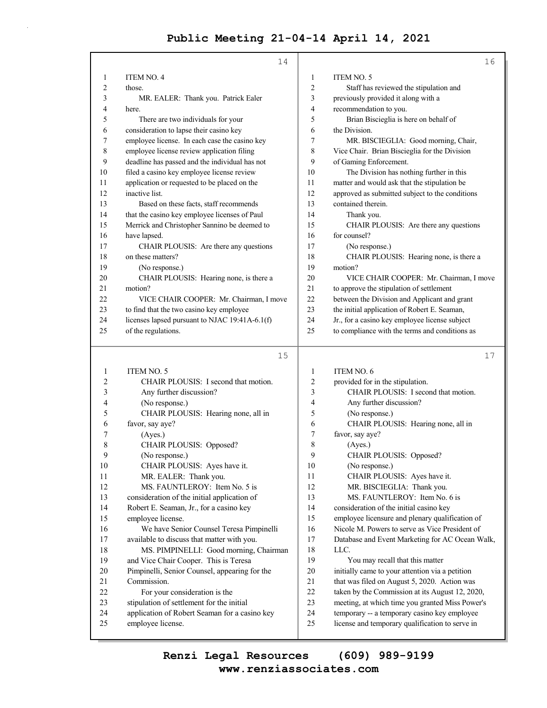|          | 14                                                                 |          | 16                                                                                              |
|----------|--------------------------------------------------------------------|----------|-------------------------------------------------------------------------------------------------|
| 1        | ITEM NO. 4                                                         | 1        | <b>ITEM NO. 5</b>                                                                               |
| 2        | those.                                                             | 2        | Staff has reviewed the stipulation and                                                          |
| 3        | MR. EALER: Thank you. Patrick Ealer                                | 3        | previously provided it along with a                                                             |
| 4        | here.                                                              | 4        | recommendation to you.                                                                          |
| 5        | There are two individuals for your                                 | 5        | Brian Biscieglia is here on behalf of                                                           |
| 6        | consideration to lapse their casino key                            | 6        | the Division.                                                                                   |
| 7        | employee license. In each case the casino key                      | 7        | MR. BISCIEGLIA: Good morning, Chair,                                                            |
| 8        | employee license review application filing                         | 8        | Vice Chair. Brian Biscieglia for the Division                                                   |
| 9        | deadline has passed and the individual has not                     | 9        | of Gaming Enforcement.                                                                          |
| 10       | filed a casino key employee license review                         | 10       | The Division has nothing further in this                                                        |
| 11       | application or requested to be placed on the                       | 11       | matter and would ask that the stipulation be                                                    |
| 12       | inactive list.                                                     | 12       | approved as submitted subject to the conditions                                                 |
| 13       | Based on these facts, staff recommends                             | 13       | contained therein.                                                                              |
| 14       | that the casino key employee licenses of Paul                      | 14       | Thank you.                                                                                      |
| 15       | Merrick and Christopher Sannino be deemed to                       | 15       | CHAIR PLOUSIS: Are there any questions                                                          |
| 16       | have lapsed.                                                       | 16       | for counsel?                                                                                    |
| 17       | CHAIR PLOUSIS: Are there any questions                             | 17       | (No response.)                                                                                  |
| 18       | on these matters?                                                  | 18       | CHAIR PLOUSIS: Hearing none, is there a                                                         |
| 19       | (No response.)                                                     | 19       | motion?                                                                                         |
| 20       | CHAIR PLOUSIS: Hearing none, is there a                            | 20       | VICE CHAIR COOPER: Mr. Chairman, I move                                                         |
| 21       | motion?                                                            | 21       | to approve the stipulation of settlement                                                        |
| 22       | VICE CHAIR COOPER: Mr. Chairman, I move                            | 22       | between the Division and Applicant and grant                                                    |
| 23       | to find that the two casino key employee                           | 23       | the initial application of Robert E. Seaman,                                                    |
| 24       | licenses lapsed pursuant to NJAC 19:41A-6.1(f)                     | 24       | Jr., for a casino key employee license subject                                                  |
| 25       | of the regulations.                                                | 25       | to compliance with the terms and conditions as                                                  |
|          |                                                                    |          |                                                                                                 |
|          | 15                                                                 |          | 17                                                                                              |
|          |                                                                    |          |                                                                                                 |
| 1        | <b>ITEM NO. 5</b>                                                  | 1        | ITEM NO. 6                                                                                      |
| 2        | CHAIR PLOUSIS: I second that motion.                               | 2        | provided for in the stipulation.                                                                |
| 3        | Any further discussion?                                            | 3        | CHAIR PLOUSIS: I second that motion.                                                            |
| 4<br>5   | (No response.)                                                     | 4<br>5   | Any further discussion?                                                                         |
| 6        | CHAIR PLOUSIS: Hearing none, all in                                | 6        | (No response.)                                                                                  |
| 7        | favor, say aye?                                                    | 7        | CHAIR PLOUSIS: Hearing none, all in                                                             |
| 8        | (Ayes.)<br>CHAIR PLOUSIS: Opposed?                                 | 8        | favor, say aye?                                                                                 |
| 9        |                                                                    | 9        | (Ayes.)<br>CHAIR PLOUSIS: Opposed?                                                              |
| 10       | (No response.)<br>CHAIR PLOUSIS: Ayes have it.                     | 10       | (No response.)                                                                                  |
| 11       | MR. EALER: Thank you.                                              | 11       | CHAIR PLOUSIS: Ayes have it.                                                                    |
| 12       | MS. FAUNTLEROY: Item No. 5 is                                      | 12       | MR. BISCIEGLIA: Thank you.                                                                      |
| 13       | consideration of the initial application of                        | 13       | MS. FAUNTLEROY: Item No. 6 is                                                                   |
| 14       | Robert E. Seaman, Jr., for a casino key                            | 14       | consideration of the initial casino key                                                         |
| 15       | employee license.                                                  | 15       | employee licensure and plenary qualification of                                                 |
| 16       | We have Senior Counsel Teresa Pimpinelli                           | 16       | Nicole M. Powers to serve as Vice President of                                                  |
| 17       | available to discuss that matter with you.                         | 17       | Database and Event Marketing for AC Ocean Walk,                                                 |
| 18       | MS. PIMPINELLI: Good morning, Chairman                             | 18       | LLC.                                                                                            |
| 19       | and Vice Chair Cooper. This is Teresa                              | 19       | You may recall that this matter                                                                 |
| 20       | Pimpinelli, Senior Counsel, appearing for the                      | 20       | initially came to your attention via a petition                                                 |
| 21       | Commission.                                                        | 21       | that was filed on August 5, 2020. Action was                                                    |
| 22       | For your consideration is the                                      | 22       | taken by the Commission at its August 12, 2020,                                                 |
| 23       | stipulation of settlement for the initial                          | 23       | meeting, at which time you granted Miss Power's                                                 |
| 24<br>25 | application of Robert Seaman for a casino key<br>employee license. | 24<br>25 | temporary -- a temporary casino key employee<br>license and temporary qualification to serve in |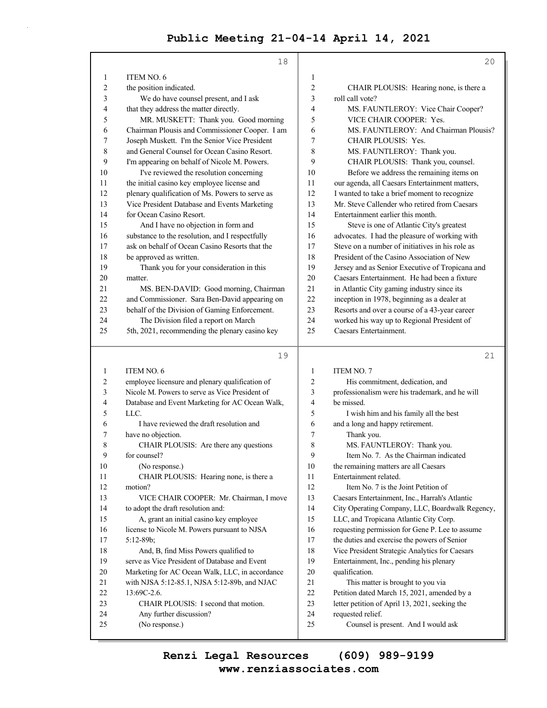|                | 18                                              |                | 20                                                       |
|----------------|-------------------------------------------------|----------------|----------------------------------------------------------|
| 1              | ITEM NO. 6                                      | $\mathbf{1}$   |                                                          |
| $\overline{c}$ | the position indicated.                         | $\overline{2}$ | CHAIR PLOUSIS: Hearing none, is there a                  |
| 3              | We do have counsel present, and I ask           | 3              | roll call vote?                                          |
| 4              | that they address the matter directly.          | $\overline{4}$ | MS. FAUNTLEROY: Vice Chair Cooper?                       |
| 5              | MR. MUSKETT: Thank you. Good morning            | 5              | VICE CHAIR COOPER: Yes.                                  |
| 6              | Chairman Plousis and Commissioner Cooper. I am  | 6              | MS. FAUNTLEROY: And Chairman Plousis?                    |
| 7              | Joseph Muskett. I'm the Senior Vice President   | 7              | CHAIR PLOUSIS: Yes.                                      |
| 8              | and General Counsel for Ocean Casino Resort.    | 8              | MS. FAUNTLEROY: Thank you.                               |
| 9              | I'm appearing on behalf of Nicole M. Powers.    | 9              | CHAIR PLOUSIS: Thank you, counsel.                       |
| 10             | I've reviewed the resolution concerning         | 10             | Before we address the remaining items on                 |
| 11             | the initial casino key employee license and     | 11             | our agenda, all Caesars Entertainment matters,           |
| 12             | plenary qualification of Ms. Powers to serve as | 12             | I wanted to take a brief moment to recognize             |
| 13             | Vice President Database and Events Marketing    | 13             | Mr. Steve Callender who retired from Caesars             |
| 14             | for Ocean Casino Resort.                        | 14             | Entertainment earlier this month.                        |
| 15             | And I have no objection in form and             | 15             | Steve is one of Atlantic City's greatest                 |
| 16             | substance to the resolution, and I respectfully | 16             | advocates. I had the pleasure of working with            |
| 17             | ask on behalf of Ocean Casino Resorts that the  | 17             | Steve on a number of initiatives in his role as          |
| 18             | be approved as written.                         | 18             | President of the Casino Association of New               |
| 19             | Thank you for your consideration in this        | 19             | Jersey and as Senior Executive of Tropicana and          |
| 20             | matter.                                         | 20             | Caesars Entertainment. He had been a fixture             |
| 21             | MS. BEN-DAVID: Good morning, Chairman           | 21             | in Atlantic City gaming industry since its               |
| 22             | and Commissioner. Sara Ben-David appearing on   | 22             | inception in 1978, beginning as a dealer at              |
| 23             | behalf of the Division of Gaming Enforcement.   | 23             | Resorts and over a course of a 43-year career            |
| 24             | The Division filed a report on March            | 24             | worked his way up to Regional President of               |
| 25             | 5th, 2021, recommending the plenary casino key  | 25             | Caesars Entertainment.                                   |
|                |                                                 |                |                                                          |
|                | 19                                              |                | 21                                                       |
| 1              | ITEM NO. 6                                      | 1              | <b>ITEM NO. 7</b>                                        |
| $\overline{c}$ | employee licensure and plenary qualification of | 2              | His commitment, dedication, and                          |
| 3              | Nicole M. Powers to serve as Vice President of  | 3              | professionalism were his trademark, and he will          |
| 4              | Database and Event Marketing for AC Ocean Walk, | 4              | be missed.                                               |
| 5              | LLC.                                            | 5              | I wish him and his family all the best                   |
| 6              | I have reviewed the draft resolution and        | 6              | and a long and happy retirement.                         |
| 7              | have no objection.                              | 7              | Thank you.                                               |
| 8              | CHAIR PLOUSIS: Are there any questions          | 8              | MS. FAUNTLEROY: Thank you.                               |
| 9              | for counsel?                                    | 9              | Item No. 7. As the Chairman indicated                    |
| 10             | (No response.)                                  | 10             | the remaining matters are all Caesars                    |
| 11             | CHAIR PLOUSIS: Hearing none, is there a         | 11             | Entertainment related.                                   |
| 12             | motion?                                         | 12             | Item No. 7 is the Joint Petition of                      |
| 13             | VICE CHAIR COOPER: Mr. Chairman, I move         | 13             | Caesars Entertainment, Inc., Harrah's Atlantic           |
| 14             | to adopt the draft resolution and:              | 14             | City Operating Company, LLC, Boardwalk Regency,          |
| 15             | A, grant an initial casino key employee         | 15             | LLC, and Tropicana Atlantic City Corp.                   |
| 16             | license to Nicole M. Powers pursuant to NJSA    | 16             | requesting permission for Gene P. Lee to assume          |
| 17             | $5:12-89b;$                                     | 17             | the duties and exercise the powers of Senior             |
| 18             | And, B, find Miss Powers qualified to           | 18             | Vice President Strategic Analytics for Caesars           |
| 19             | serve as Vice President of Database and Event   | 19             | Entertainment, Inc., pending his plenary                 |
| 20             | Marketing for AC Ocean Walk, LLC, in accordance | 20             | qualification.                                           |
| 21             | with NJSA 5:12-85.1, NJSA 5:12-89b, and NJAC    | 21             | This matter is brought to you via                        |
| 22             | 13:69C-2.6.                                     | 22             | Petition dated March 15, 2021, amended by a              |
| 23             | CHAIR PLOUSIS: I second that motion.            | 23             | letter petition of April 13, 2021, seeking the           |
| 24<br>25       | Any further discussion?<br>(No response.)       | 24<br>25       | requested relief.<br>Counsel is present. And I would ask |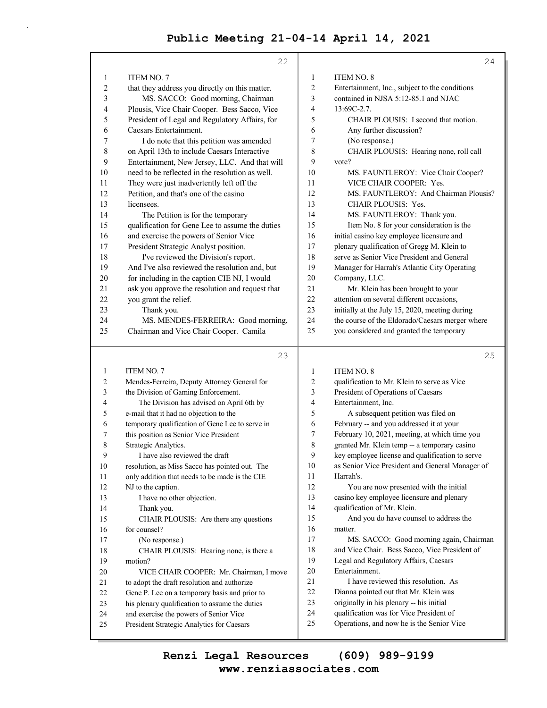|          | 22                                                                                       |              | 24                                                                                  |
|----------|------------------------------------------------------------------------------------------|--------------|-------------------------------------------------------------------------------------|
| 1        | ITEM NO. 7                                                                               | $\mathbf{1}$ | <b>ITEM NO. 8</b>                                                                   |
| 2        | that they address you directly on this matter.                                           | 2            | Entertainment, Inc., subject to the conditions                                      |
| 3        | MS. SACCO: Good morning, Chairman                                                        | 3            | contained in NJSA 5:12-85.1 and NJAC                                                |
| 4        | Plousis, Vice Chair Cooper. Bess Sacco, Vice                                             | 4            | 13:69C-2.7.                                                                         |
| 5        | President of Legal and Regulatory Affairs, for                                           | 5            | CHAIR PLOUSIS: I second that motion.                                                |
| 6        | Caesars Entertainment.                                                                   | 6            | Any further discussion?                                                             |
| 7        | I do note that this petition was amended                                                 | 7            | (No response.)                                                                      |
| 8        | on April 13th to include Caesars Interactive                                             | 8            | CHAIR PLOUSIS: Hearing none, roll call                                              |
| 9        | Entertainment, New Jersey, LLC. And that will                                            | 9            | vote?                                                                               |
| 10       | need to be reflected in the resolution as well.                                          | 10           | MS. FAUNTLEROY: Vice Chair Cooper?                                                  |
| 11       | They were just inadvertently left off the                                                | 11           | VICE CHAIR COOPER: Yes.                                                             |
| 12       | Petition, and that's one of the casino                                                   | 12           | MS. FAUNTLEROY: And Chairman Plousis?                                               |
| 13       | licensees.                                                                               | 13           | <b>CHAIR PLOUSIS: Yes.</b>                                                          |
| 14       | The Petition is for the temporary                                                        | 14           | MS. FAUNTLEROY: Thank you.                                                          |
| 15       | qualification for Gene Lee to assume the duties                                          | 15           | Item No. 8 for your consideration is the                                            |
| 16       | and exercise the powers of Senior Vice                                                   | 16           | initial casino key employee licensure and                                           |
| 17       | President Strategic Analyst position.                                                    | 17           | plenary qualification of Gregg M. Klein to                                          |
| 18       | I've reviewed the Division's report.                                                     | 18           | serve as Senior Vice President and General                                          |
| 19       | And I've also reviewed the resolution and, but                                           | 19           | Manager for Harrah's Atlantic City Operating                                        |
| 20       | for including in the caption CIE NJ, I would                                             | 20           | Company, LLC.                                                                       |
| 21       | ask you approve the resolution and request that                                          | 21           | Mr. Klein has been brought to your                                                  |
| 22       | you grant the relief.                                                                    | 22           | attention on several different occasions,                                           |
| 23       | Thank you.                                                                               | 23           | initially at the July 15, 2020, meeting during                                      |
| 24       | MS. MENDES-FERREIRA: Good morning,                                                       | 24           | the course of the Eldorado/Caesars merger where                                     |
| 25       | Chairman and Vice Chair Cooper. Camila                                                   | 25           | you considered and granted the temporary                                            |
|          |                                                                                          |              |                                                                                     |
|          | 23                                                                                       |              | 25                                                                                  |
| 1        | <b>ITEM NO. 7</b>                                                                        | $\mathbf{1}$ | ITEM NO. 8                                                                          |
| 2        | Mendes-Ferreira, Deputy Attorney General for                                             | 2            | qualification to Mr. Klein to serve as Vice                                         |
| 3        | the Division of Gaming Enforcement.                                                      | 3            | President of Operations of Caesars                                                  |
| 4        | The Division has advised on April 6th by                                                 | 4            | Entertainment, Inc.                                                                 |
| 5        | e-mail that it had no objection to the                                                   | 5            | A subsequent petition was filed on                                                  |
| 6        | temporary qualification of Gene Lee to serve in                                          | 6            | February -- and you addressed it at your                                            |
| 7        | this position as Senior Vice President                                                   | 7            | February 10, 2021, meeting, at which time you                                       |
| 8        | Strategic Analytics.                                                                     | 8            | granted Mr. Klein temp -- a temporary casino                                        |
| 9        | I have also reviewed the draft                                                           | 9            | key employee license and qualification to serve                                     |
| 10       | resolution, as Miss Sacco has pointed out. The                                           | 10           | as Senior Vice President and General Manager of                                     |
| 11       | only addition that needs to be made is the CIE                                           | 11           | Harrah's.                                                                           |
| 12       | NJ to the caption.                                                                       | 12           | You are now presented with the initial                                              |
| 13       | I have no other objection.                                                               | 13           | casino key employee licensure and plenary                                           |
| 14       | Thank you.                                                                               | 14           | qualification of Mr. Klein.                                                         |
| 15       | CHAIR PLOUSIS: Are there any questions                                                   | 15           | And you do have counsel to address the                                              |
| 16       | for counsel?                                                                             | 16           | matter.                                                                             |
| 17       | (No response.)                                                                           | 17           | MS. SACCO: Good morning again, Chairman                                             |
| 18       | CHAIR PLOUSIS: Hearing none, is there a                                                  | 18           | and Vice Chair. Bess Sacco, Vice President of                                       |
| 19       | motion?                                                                                  | 19           | Legal and Regulatory Affairs, Caesars                                               |
| 20       | VICE CHAIR COOPER: Mr. Chairman, I move                                                  | 20           | Entertainment.                                                                      |
| 21       | to adopt the draft resolution and authorize                                              | 21           | I have reviewed this resolution. As                                                 |
| 22       | Gene P. Lee on a temporary basis and prior to                                            | 22<br>23     | Dianna pointed out that Mr. Klein was                                               |
| 23<br>24 | his plenary qualification to assume the duties<br>and exercise the powers of Senior Vice | 24           | originally in his plenary -- his initial<br>qualification was for Vice President of |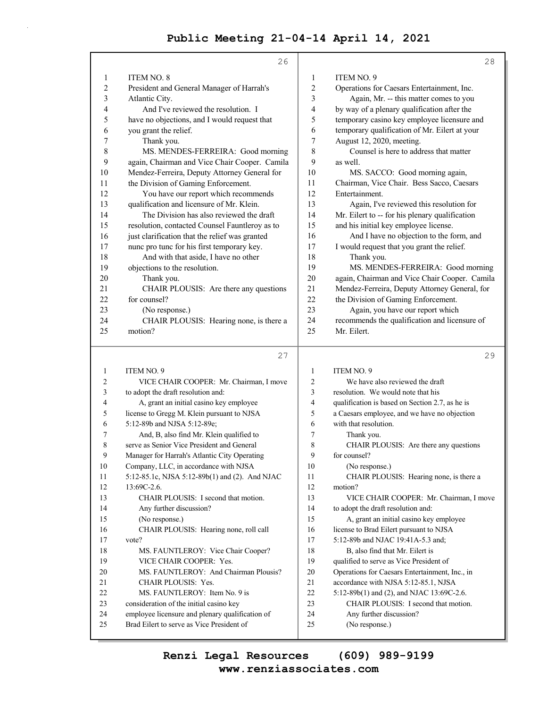|                | 26                                             |              | 28                                              |
|----------------|------------------------------------------------|--------------|-------------------------------------------------|
| 1              | ITEM NO. 8                                     | 1            | ITEM NO. 9                                      |
| $\overline{c}$ | President and General Manager of Harrah's      | 2            | Operations for Caesars Entertainment, Inc.      |
| 3              | Atlantic City.                                 | 3            | Again, Mr. -- this matter comes to you          |
| 4              | And I've reviewed the resolution. I            | 4            | by way of a plenary qualification after the     |
| 5              | have no objections, and I would request that   | 5            | temporary casino key employee licensure and     |
| 6              | you grant the relief.                          | 6            | temporary qualification of Mr. Eilert at your   |
| 7              | Thank you.                                     | 7            | August 12, 2020, meeting.                       |
| 8              | MS. MENDES-FERREIRA: Good morning              | 8            | Counsel is here to address that matter          |
| 9              | again, Chairman and Vice Chair Cooper. Camila  | 9            | as well.                                        |
| 10             | Mendez-Ferreira, Deputy Attorney General for   | 10           | MS. SACCO: Good morning again,                  |
| 11             | the Division of Gaming Enforcement.            | 11           | Chairman, Vice Chair. Bess Sacco, Caesars       |
| 12             | You have our report which recommends           | 12           | Entertainment.                                  |
| 13             | qualification and licensure of Mr. Klein.      | 13           | Again, I've reviewed this resolution for        |
| 14             | The Division has also reviewed the draft       | 14           | Mr. Eilert to -- for his plenary qualification  |
| 15             | resolution, contacted Counsel Fauntleroy as to | 15           | and his initial key employee license.           |
| 16             | just clarification that the relief was granted | 16           | And I have no objection to the form, and        |
| 17             | nunc pro tunc for his first temporary key.     | 17           | I would request that you grant the relief.      |
| 18             | And with that aside, I have no other           | 18           | Thank you.                                      |
| 19             | objections to the resolution.                  | 19           | MS. MENDES-FERREIRA: Good morning               |
| 20             | Thank you.                                     | 20           | again, Chairman and Vice Chair Cooper. Camila   |
| 21             | CHAIR PLOUSIS: Are there any questions         | 21           | Mendez-Ferreira, Deputy Attorney General, for   |
| 22             | for counsel?                                   | 22           | the Division of Gaming Enforcement.             |
| 23             | (No response.)                                 | 23           | Again, you have our report which                |
| 24             | CHAIR PLOUSIS: Hearing none, is there a        | 24           | recommends the qualification and licensure of   |
| 25             | motion?                                        | 25           | Mr. Eilert.                                     |
|                |                                                |              |                                                 |
|                |                                                |              |                                                 |
|                | 27                                             |              | 29                                              |
| $\mathbf{1}$   | ITEM NO. 9                                     | $\mathbf{1}$ | <b>ITEM NO. 9</b>                               |
| 2              | VICE CHAIR COOPER: Mr. Chairman, I move        | 2            | We have also reviewed the draft                 |
| 3              | to adopt the draft resolution and:             | 3            | resolution. We would note that his              |
| 4              | A, grant an initial casino key employee        | 4            | qualification is based on Section 2.7, as he is |
| 5              | license to Gregg M. Klein pursuant to NJSA     | 5            | a Caesars employee, and we have no objection    |
| 6              | 5:12-89b and NJSA 5:12-89e;                    | 6            | with that resolution.                           |
| 7              | And, B, also find Mr. Klein qualified to       | 7            | Thank you.                                      |
| 8              | serve as Senior Vice President and General     | 8            | CHAIR PLOUSIS: Are there any questions          |
| 9              | Manager for Harrah's Atlantic City Operating   | 9            | for counsel?                                    |
| 10             | Company, LLC, in accordance with NJSA          | 10           | (No response.)                                  |
| 11             | 5:12-85.1c, NJSA 5:12-89b(1) and (2). And NJAC | 11           | CHAIR PLOUSIS: Hearing none, is there a         |
| 12             | 13:69C-2.6.                                    | 12           | motion?                                         |
| 13             | CHAIR PLOUSIS: I second that motion.           | 13           | VICE CHAIR COOPER: Mr. Chairman, I move         |
| 14             | Any further discussion?                        | 14           | to adopt the draft resolution and:              |
| 15             | (No response.)                                 | 15           | A, grant an initial casino key employee         |
| 16             | CHAIR PLOUSIS: Hearing none, roll call         | 16           | license to Brad Eilert pursuant to NJSA         |
| 17             | vote?                                          | 17           | 5:12-89b and NJAC 19:41A-5.3 and;               |
| 18             | MS. FAUNTLEROY: Vice Chair Cooper?             | 18           | B, also find that Mr. Eilert is                 |
| 19             | VICE CHAIR COOPER: Yes.                        | 19           | qualified to serve as Vice President of         |
| 20             | MS. FAUNTLEROY: And Chairman Plousis?          | $20\,$       | Operations for Caesars Entertainment, Inc., in  |
| 21             | CHAIR PLOUSIS: Yes.                            | 21           | accordance with NJSA 5:12-85.1, NJSA            |
| 22             | MS. FAUNTLEROY: Item No. 9 is                  | 22           | 5:12-89b(1) and (2), and NJAC 13:69C-2.6.       |

24 Any further discussion? 25 (No response.)

24 employee licensure and plenary qualification of 25 Brad Eilert to serve as Vice President of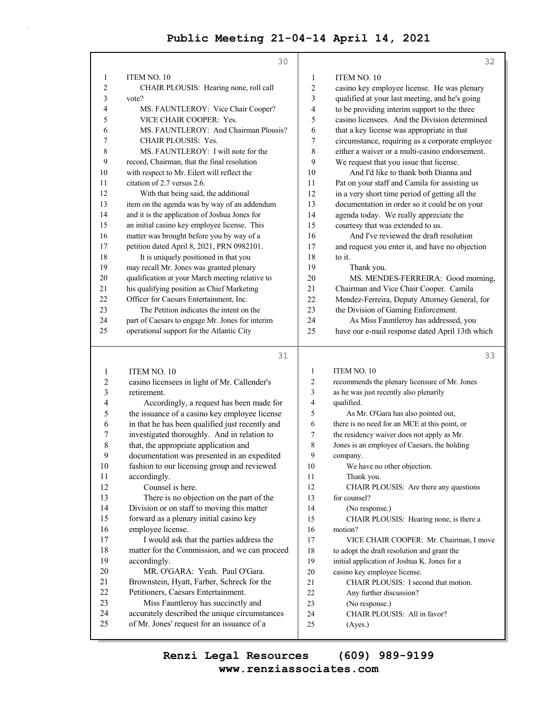|                | 30                                              |              | 32                                              |
|----------------|-------------------------------------------------|--------------|-------------------------------------------------|
| 1              | <b>ITEM NO. 10</b>                              | 1            | <b>ITEM NO. 10</b>                              |
| $\overline{c}$ | CHAIR PLOUSIS: Hearing none, roll call          | 2            | casino key employee license. He was plenary     |
| 3              | vote?                                           | 3            | qualified at your last meeting, and he's going  |
| 4              | MS. FAUNTLEROY: Vice Chair Cooper?              | 4            | to be providing interim support to the three    |
| 5              | VICE CHAIR COOPER: Yes.                         | 5            | casino licensees. And the Division determined   |
| 6              | MS. FAUNTLEROY: And Chairman Plousis?           | 6            | that a key license was appropriate in that      |
| 7              | <b>CHAIR PLOUSIS: Yes.</b>                      | 7            | circumstance, requiring as a corporate employee |
| 8              | MS. FAUNTLEROY: I will note for the             | 8            | either a waiver or a multi-casino endorsement.  |
| 9              | record, Chairman, that the final resolution     | 9            | We request that you issue that license.         |
| 10             | with respect to Mr. Eilert will reflect the     | 10           | And I'd like to thank both Dianna and           |
| 11             | citation of 2.7 versus 2.6.                     | 11           | Pat on your staff and Camila for assisting us   |
| 12             | With that being said, the additional            | 12           | in a very short time period of getting all the  |
| 13             | item on the agenda was by way of an addendum    | 13           | documentation in order so it could be on your   |
| 14             | and it is the application of Joshua Jones for   | 14           | agenda today. We really appreciate the          |
| 15             | an initial casino key employee license. This    | 15           | courtesy that was extended to us.               |
| 16             | matter was brought before you by way of a       | 16           | And I've reviewed the draft resolution          |
| 17             | petition dated April 8, 2021, PRN 0982101.      | 17           | and request you enter it, and have no objection |
| 18             | It is uniquely positioned in that you           | 18           | to it.                                          |
| 19             | may recall Mr. Jones was granted plenary        | 19           | Thank you.                                      |
| 20             | qualification at your March meeting relative to | 20           | MS. MENDES-FERREIRA: Good morning,              |
| 21             | his qualifying position as Chief Marketing      | 21           | Chairman and Vice Chair Cooper. Camila          |
| 22             | Officer for Caesars Entertainment, Inc.         | 22           | Mendez-Ferreira, Deputy Attorney General, for   |
| 23             | The Petition indicates the intent on the        | 23           | the Division of Gaming Enforcement.             |
| 24             | part of Caesars to engage Mr. Jones for interim | 24           | As Miss Fauntleroy has addressed, you           |
| 25             | operational support for the Atlantic City       | 25           | have our e-mail response dated April 13th which |
|                | 31                                              |              | 33                                              |
| 1              | <b>ITEM NO. 10</b>                              | $\mathbf{1}$ | <b>ITEM NO. 10</b>                              |
| 2              | casino licensees in light of Mr. Callender's    | 2            | recommends the plenary licensure of Mr. Jones   |

| 1              | ITEM NO. 10                                     | 1  | <b>ITEM NO. 10</b>                            |
|----------------|-------------------------------------------------|----|-----------------------------------------------|
| 2              | casino licensees in light of Mr. Callender's    | 2  | recommends the plenary licensure of Mr. Jones |
| 3              | retirement.                                     | 3  | as he was just recently also plenarily        |
| $\overline{4}$ | Accordingly, a request has been made for        | 4  | qualified.                                    |
| 5              | the issuance of a casino key employee license   | 5  | As Mr. O'Gara has also pointed out,           |
| 6              | in that he has been qualified just recently and | 6  | there is no need for an MCE at this point, or |
| 7              | investigated thoroughly. And in relation to     | 7  | the residency waiver does not apply as Mr.    |
| 8              | that, the appropriate application and           | 8  | Jones is an employee of Caesars, the holding  |
| 9              | documentation was presented in an expedited     | 9  | company.                                      |
| 10             | fashion to our licensing group and reviewed     | 10 | We have no other objection.                   |
| 11             | accordingly.                                    | 11 | Thank you.                                    |
| 12             | Counsel is here.                                | 12 | CHAIR PLOUSIS: Are there any questions        |
| 13             | There is no objection on the part of the        | 13 | for counsel?                                  |
| 14             | Division or on staff to moving this matter      | 14 | (No response.)                                |
| 15             | forward as a plenary initial casino key         | 15 | CHAIR PLOUSIS: Hearing none, is there a       |
| 16             | employee license.                               | 16 | motion?                                       |
| 17             | I would ask that the parties address the        | 17 | VICE CHAIR COOPER: Mr. Chairman, I move       |
| 18             | matter for the Commission, and we can proceed   | 18 | to adopt the draft resolution and grant the   |
| 19             | accordingly.                                    | 19 | initial application of Joshua K. Jones for a  |
| 20             | MR. O'GARA: Yeah. Paul O'Gara.                  | 20 | casino key employee license.                  |
| 21             | Brownstein, Hyatt, Farber, Schreck for the      | 21 | CHAIR PLOUSIS: I second that motion.          |
| 22             | Petitioners, Caesars Entertainment.             | 22 | Any further discussion?                       |
| 23             | Miss Fauntleroy has succinctly and              | 23 | (No response.)                                |
| 24             | accurately described the unique circumstances   | 24 | CHAIR PLOUSIS: All in favor?                  |
| 25             | of Mr. Jones' request for an issuance of a      | 25 | (Ayes.)                                       |
|                |                                                 |    |                                               |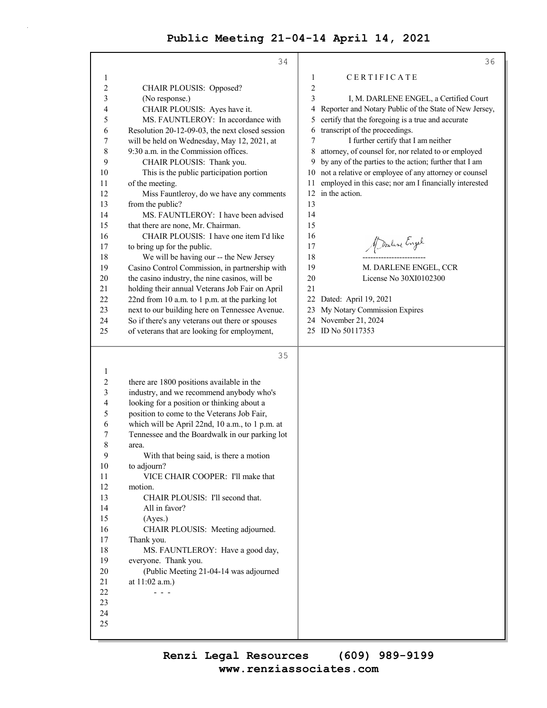|              | 34                                                                                       | 36                                                           |
|--------------|------------------------------------------------------------------------------------------|--------------------------------------------------------------|
| $\mathbf{1}$ |                                                                                          | CERTIFICATE<br>1                                             |
| 2            | CHAIR PLOUSIS: Opposed?                                                                  | $\overline{c}$                                               |
| 3            | (No response.)                                                                           | 3<br>I, M. DARLENE ENGEL, a Certified Court                  |
| 4            | CHAIR PLOUSIS: Ayes have it.                                                             | Reporter and Notary Public of the State of New Jersey,<br>4  |
| 5            | MS. FAUNTLEROY: In accordance with                                                       | certify that the foregoing is a true and accurate<br>5       |
| 6            | Resolution 20-12-09-03, the next closed session                                          | transcript of the proceedings.<br>6                          |
| 7            | will be held on Wednesday, May 12, 2021, at                                              | I further certify that I am neither<br>7                     |
| 8            | 9:30 a.m. in the Commission offices.                                                     | attorney, of counsel for, nor related to or employed<br>8    |
| 9            | CHAIR PLOUSIS: Thank you.                                                                | by any of the parties to the action; further that I am<br>9  |
| 10           | This is the public participation portion                                                 | 10 not a relative or employee of any attorney or counsel     |
| 11           | of the meeting.                                                                          | employed in this case; nor am I financially interested<br>11 |
| 12           | Miss Fauntleroy, do we have any comments                                                 | in the action.<br>12                                         |
| 13           | from the public?                                                                         | 13                                                           |
| 14           | MS. FAUNTLEROY: I have been advised                                                      | 14                                                           |
| 15           | that there are none, Mr. Chairman.                                                       | 15                                                           |
| 16           | CHAIR PLOUSIS: I have one item I'd like                                                  | 16                                                           |
| 17           | to bring up for the public.                                                              | Marline Engel<br>17                                          |
| 18           | We will be having our -- the New Jersey                                                  | 18                                                           |
| 19           | Casino Control Commission, in partnership with                                           | 19<br>M. DARLENE ENGEL, CCR                                  |
| 20           | the casino industry, the nine casinos, will be                                           | 20<br>License No 30XI0102300                                 |
| 21           | holding their annual Veterans Job Fair on April                                          | 21                                                           |
| 22           | 22nd from 10 a.m. to 1 p.m. at the parking lot                                           | Dated: April 19, 2021<br>22                                  |
| 23           | next to our building here on Tennessee Avenue.                                           | My Notary Commission Expires<br>23                           |
| 24           | So if there's any veterans out there or spouses                                          | 24 November 21, 2024                                         |
| 25           | of veterans that are looking for employment,                                             | 25 ID No 50117353                                            |
|              | 35                                                                                       |                                                              |
|              |                                                                                          |                                                              |
| 1            |                                                                                          |                                                              |
| 2            | there are 1800 positions available in the                                                |                                                              |
| 3            | industry, and we recommend anybody who's                                                 |                                                              |
| 4<br>5       | looking for a position or thinking about a<br>position to come to the Veterans Job Fair, |                                                              |
| 6            | which will be April 22nd, 10 a.m., to 1 p.m. at                                          |                                                              |
| 7            | Tennessee and the Boardwalk in our parking lot                                           |                                                              |
| 8            | area.                                                                                    |                                                              |
| 9            | With that being said, is there a motion                                                  |                                                              |
| 10           | to adjourn?                                                                              |                                                              |
| 11           | VICE CHAIR COOPER: I'll make that                                                        |                                                              |
| 12           | motion.                                                                                  |                                                              |
| 13           | CHAIR PLOUSIS: I'll second that.                                                         |                                                              |
| 14           | All in favor?                                                                            |                                                              |
| 15           | (Ayes.)                                                                                  |                                                              |
| 16           | CHAIR PLOUSIS: Meeting adjourned.                                                        |                                                              |
| 17           | Thank you.                                                                               |                                                              |
| 18           | MS. FAUNTLEROY: Have a good day,                                                         |                                                              |
| 19           | everyone. Thank you.                                                                     |                                                              |
| 20           | (Public Meeting 21-04-14 was adjourned                                                   |                                                              |
| 21           | at $11:02$ a.m.)                                                                         |                                                              |
| 22           |                                                                                          |                                                              |
| 23           |                                                                                          |                                                              |
| 24           |                                                                                          |                                                              |
| 25           |                                                                                          |                                                              |
|              |                                                                                          |                                                              |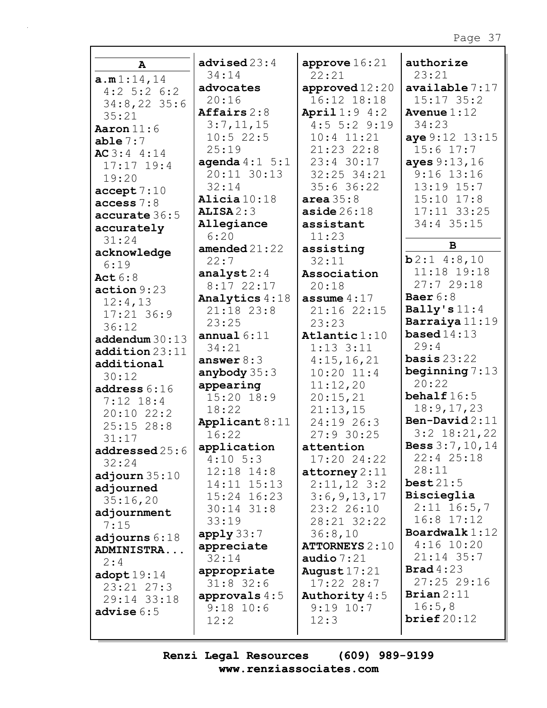|                           | advised23:4               | approve $16:21$          | authorize                 |
|---------------------------|---------------------------|--------------------------|---------------------------|
| A                         | 34:14                     | 22:21                    | 23:21                     |
| a.m1:14,14                | advocates                 | approved $12:20$         | available 7:17            |
| $4:2$ 5:2 6:2             | 20:16                     | 16:12 18:18              | $15:17$ 35:2              |
| $34:8,22$ 35:6            | Affairs $2:8$             | <b>April</b> $1:9$ $4:2$ | Avenue $1:12$             |
| 35:21                     | 3:7,11,15                 | $4:5$ 5:2 9:19           | 34:23                     |
| Aaron $11:6$              | 10:522:5                  | $10:4$ $11:21$           | aye 9:12 13:15            |
| able $7:7$                | 25:19                     | $21:23$ $22:8$           | $15:6$ $17:7$             |
| AC3:44:14<br>$17:17$ 19:4 | <b>agenda</b> $4:1 \ 5:1$ | 23:4 30:17               | ayes 9:13,16              |
| 19:20                     | 20:11 30:13               | 32:25 34:21              | $9:16$ 13:16              |
|                           | 32:14                     | 35:6 36:22               | 13:19 15:7                |
| accept 7:10<br>access 7:8 | Alicia $10:18$            | area $35:8$              | $15:10$ $17:8$            |
| accurate 36:5             | ALISA2:3                  | aside $26:18$            | 17:11 33:25               |
| accurately                | Allegiance                | assistant                | 34:4 35:15                |
| 31:24                     | 6:20                      | 11:23                    |                           |
| acknowledge               | amended $21:22$           | assisting                | B                         |
| 6:19                      | 22:7                      | 32:11                    | b2:14:8,10                |
| Act $6:8$                 | analyst $2:4$             | Association              | 11:18 19:18               |
| action 9:23               | $8:17$ 22:17              | 20:18                    | 27:729:18                 |
| 12:4,13                   | Analytics 4:18            | assume $4:17$            | Baer $6:8$                |
| $17:21$ 36:9              | $21:18$ $23:8$            | 21:16 22:15              | Bally's $11:4$            |
| 36:12                     | 23:25                     | 23:23                    | Barraiya 11:19            |
| addendum 30:13            | annual $6:11$             | Atlantic 1:10            | based $14:13$             |
| addition 23:11            | 34:21                     | $1:13$ $3:11$            | 29:4                      |
| additional                | answer $8:3$              | 4:15,16,21               | basis $23:22$             |
| 30:12                     | anybody $35:3$            | $10:20$ $11:4$           | beginning $7:13$          |
| address 6:16              | appearing                 | 11:12,20                 | 20:22                     |
| $7:12$ 18:4               | $15:20$ $18:9$            | 20:15,21                 | behalf $16:5$             |
| $20:10$ $22:2$            | 18:22                     | 21:13,15                 | 18:9, 17, 23              |
| $25:15$ 28:8              | Applicant 8:11            | 24:19 26:3               | Ben-David $2:11$          |
| 31:17                     | 16:22                     | 27:9 30:25               | $3:2$ 18:21,22            |
| addressed25:6             | application               | attention                | <b>Bess</b> $3:7, 10, 14$ |
| 32:24                     | $4:10 \t5:3$              | 17:20 24:22              | 22:4 25:18                |
| adjourn $35:10$           | $12:18$ $14:8$            | $\texttt{attorney} 2:11$ | 28:11                     |
| adjourned                 | 14:11 15:13               | $2:11,12$ 3:2            | best21:5                  |
| 35:16,20                  | 15:24 16:23               | 3:6, 9, 13, 17           | Biscieglia                |
| adjournment               | $30:14$ $31:8$            | 23:2 26:10               | $2:11$ 16:5,7             |
| 7:15                      | 33:19                     | 28:21 32:22              | $16:8$ $17:12$            |
| adjourns $6:18$           | apply33:7                 | 36:8,10                  | Boardwalk $1:12$          |
| ADMINISTRA                | appreciate                | <b>ATTORNEYS 2:10</b>    | $4:16$ 10:20              |
| 2:4                       | 32:14                     | audio $7:21$             | $21:14$ 35:7              |
| $\texttt{adopt19:14}$     | appropriate               | August $17:21$           | <b>Brad</b> $4:23$        |
| $23:21$ $27:3$            | $31:8$ 32:6               | $17:22$ 28:7             | 27:2529:16                |
| 29:14 33:18               | approvals $4:5$           | Authority $4:5$          | Brian $2:11$              |
| advise $6:5$              | $9:18$ 10:6               | $9:19$ 10:7              | 16:5,8<br>brief $20:12$   |
|                           | 12:2                      | 12:3                     |                           |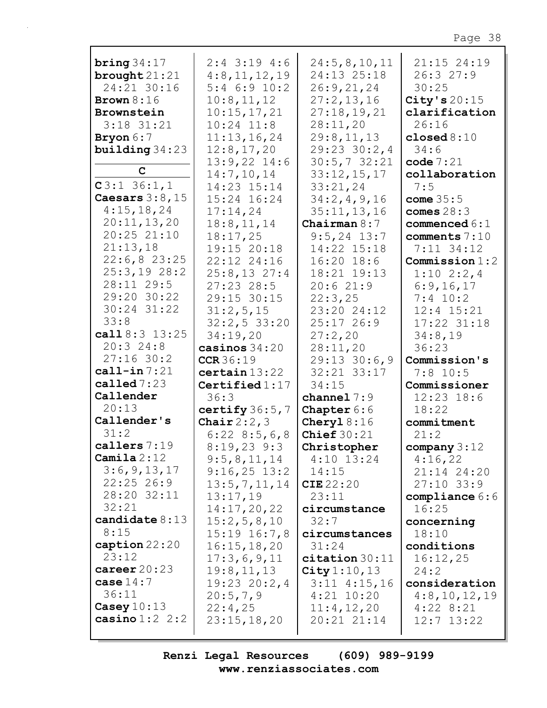| bring $34:17$     | $2:4$ 3:19 4:6   | 24:5, 8, 10, 11    | 21:15 24:19      |
|-------------------|------------------|--------------------|------------------|
| brought $21:21$   | 4:8,11,12,19     | 24:13 25:18        | 26:327:9         |
| 24:21 30:16       | $5:4$ 6:9 10:2   | 26:9, 21, 24       | 30:25            |
|                   |                  |                    |                  |
| Brown $8:16$      | 10:8, 11, 12     | 27:2,13,16         | City's $20:15$   |
| Brownstein        | 10:15,17,21      | 27:18,19,21        | clarification    |
| $3:18$ $31:21$    | $10:24$ $11:8$   | 28:11,20           | 26:16            |
| Bryon $6:7$       | 11:13,16,24      | 29:8,11,13         | closed $8:10$    |
|                   |                  |                    |                  |
| building $34:23$  | 12:8,17,20       | 29:23 30:2,4       | 34:6             |
|                   | $13:9,22$ 14:6   | 30:5,732:21        | code $7:21$      |
| C                 | 14:7, 10, 14     | 33:12,15,17        | collaboration    |
| C3:136:1,1        | 14:23 15:14      | 33:21,24           | 7:5              |
| Caesars $3:8,15$  | 15:24 16:24      | 34:2,4,9,16        | come $35:5$      |
|                   |                  |                    |                  |
| 4:15,18,24        | 17:14,24         | 35:11, 13, 16      | comes $28:3$     |
| 20:11,13,20       | 18:8, 11, 14     | Chairman $8:7$     | commenced $6:1$  |
| 20:25 21:10       | 18:17,25         | $9:5, 24$ 13:7     | comments 7:10    |
| 21:13,18          | 19:15 20:18      | 14:22 15:18        | 7:11 34:12       |
| 22:6,823:25       |                  |                    |                  |
|                   | 22:12 24:16      | $16:20$ $18:6$     | Commission 1:2   |
| $25:3,19$ 28:2    | 25:8,1327:4      | 18:21 19:13        | $1:10 \ 2:2,4$   |
| 28:11 29:5        | $27:23$ 28:5     | 20:621:9           | 6:9,16,17        |
| 29:20 30:22       | 29:15 30:15      | 22:3,25            | $7:4$ 10:2       |
| 30:24 31:22       | 31:2,5,15        | 23:20 24:12        | $12:4$ $15:21$   |
| 33:8              |                  |                    |                  |
|                   | 32:2,533:20      | 25:1726:9          | 17:22 31:18      |
| call $8:3$ 13:25  | 34:19,20         | 27:2,20            | 34:8,19          |
| 20:324:8          | casinos $34:20$  | 28:11,20           | 36:23            |
| $27:16$ 30:2      | CCR36:19         | 29:13 30:6,9       | Commission's     |
| $cal1$ -in $7:21$ | certain13:22     | 32:21 33:17        | $7:8$ 10:5       |
| called $7:23$     | Certified $1:17$ | 34:15              | Commissioner     |
|                   |                  |                    |                  |
| Callender         | 36:3             | channel $7:9$      | 12:23 18:6       |
| 20:13             | certify $36:5,7$ | Chapter 6:6        | 18:22            |
| Callender's       | Chair $2:2,3$    | Cheryl $8:16$      | commitment       |
| 31:2              | $6:22$ 8:5,6,8   | Chief $30:21$      | 21:2             |
| callers 7:19      | $8:19,23$ 9:3    | Christopher        | company $3:12$   |
| Camila $2:12$     | 9:5,8,11,14      | $4:10$ 13:24       | 4:16,22          |
| 3:6,9,13,17       |                  |                    |                  |
|                   | $9:16,25$ 13:2   | 14:15              | 21:14 24:20      |
| $22:25$ 26:9      | 13:5, 7, 11, 14  | CIE $22:20$        | $27:10$ 33:9     |
| 28:20 32:11       | 13:17,19         | 23:11              | compliance $6:6$ |
| 32:21             | 14:17,20,22      | circumstance       | 16:25            |
| candidate $8:13$  | 15:2,5,8,10      | 32:7               | concerning       |
| 8:15              | $15:19$ $16:7,8$ | circumstances      | 18:10            |
| caption $22:20$   | 16:15, 18, 20    | 31:24              |                  |
|                   |                  |                    | conditions       |
| 23:12             | 17:3,6,9,11      | citation 30:11     | 16:12,25         |
| career $20:23$    | 19:8, 11, 13     | City $1:10, 13$    | 24:2             |
| case $14:7$       |                  |                    | consideration    |
|                   | $19:23$ $20:2,4$ | $3:11$ $4:15$ , 16 |                  |
| 36:11             |                  | $4:21$ $10:20$     |                  |
|                   | 20:5,7,9         |                    | 4:8,10,12,19     |
| Casey $10:13$     | 22:4,25          | 11:4,12,20         | $4:22$ 8:21      |
| casino $1:2$ 2:2  | 23:15,18,20      | 20:21 21:14        | $12:7$ $13:22$   |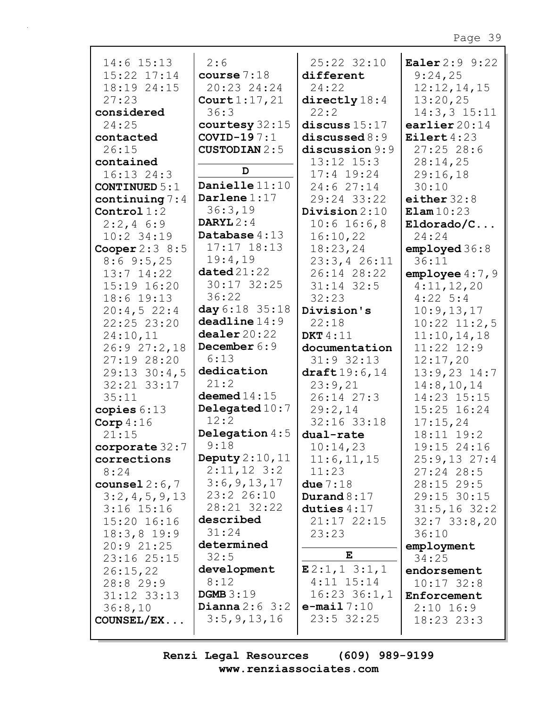| $14:6$ 15:13         | 2:6                    | 25:22 32:10            | Ealer 2:9 9:22   |
|----------------------|------------------------|------------------------|------------------|
| $15:22$ $17:14$      | course $7:18$          | different              | 9:24,25          |
| 18:19 24:15          | 20:23 24:24            | 24:22                  | 12:12,14,15      |
| 27:23                | Court $1:17,21$        | $\text{directly} 18:4$ | 13:20,25         |
| considered           | 36:3                   | 22:2                   | $14:3,3$ $15:11$ |
| 24:25                | courtesy 32:15         | discuss $15:17$        | earlier $20:14$  |
| contacted            | COVID-19 $7:1$         | discussed $8:9$        | Eilert $4:23$    |
| 26:15                | <b>CUSTODIAN 2:5</b>   | discussion 9:9         | $27:25$ 28:6     |
| contained            |                        | $13:12$ $15:3$         | 28:14,25         |
| $16:13$ $24:3$       | D                      | $17:4$ 19:24           | 29:16,18         |
| <b>CONTINUED 5:1</b> | Danielle 11:10         | 24:627:14              | 30:10            |
| continuing $7:4$     | Darlene $1:17$         | 29:24 33:22            | either $32:8$    |
| Control $1:2$        | 36:3,19                | Division $2:10$        | Elam10:23        |
|                      | DARYL $2:4$            |                        |                  |
| $2:2,4$ 6:9          | Database 4:13          | $10:6$ 16:6,8          | Eldorado/C       |
| $10:2$ 34:19         |                        | 16:10,22               | 24:24            |
| Cooper $2:3$ 8:5     | $17:17$ $18:13$        | 18:23,24               | employd 36:8     |
| $8:6$ 9:5,25         | 19:4,19                | 23:3,426:11            | 36:11            |
| $13:7$ $14:22$       | $\texttt{dated21:22}$  | 26:14 28:22            | employee $4:7,9$ |
| 15:19 16:20          | 30:17 32:25            | $31:14$ 32:5           | 4:11,12,20       |
| 18:6 19:13           | 36:22                  | 32:23                  | $4:22 \quad 5:4$ |
| 20:4,522:4           | day $6:18$ 35:18       | Division's             | 10:9, 13, 17     |
| 22:25 23:20          | deadline 14:9          | 22:18                  | $10:22$ $11:2,5$ |
| 24:10,11             | $\text{dealer } 20:22$ | <b>DKT</b> 4:11        | 11:10,14,18      |
| 26:927:2,18          | December 6:9           | documentation          | $11:22$ $12:9$   |
| 27:19 28:20          | 6:13                   | $31:9$ $32:13$         | 12:17,20         |
| $29:13$ $30:4,5$     | dedication             | draff19:6,14           | $13:9,23$ $14:7$ |
| 32:21 33:17          | 21:2                   | 23:9,21                | 14:8, 10, 14     |
| 35:11                | deemed $14:15$         | $26:14$ $27:3$         | 14:23 15:15      |
| copies $6:13$        | Delegated $10:7$       | 29:2,14                | 15:25 16:24      |
| Corp $4:16$          | 12:2                   | 32:16 33:18            | 17:15,24         |
| 21:15                | Delegation $4:5$       | dual-rate              | 18:11 19:2       |
| corporate 32:7       | 9:18                   | 10:14,23               | 19:15 24:16      |
| corrections          | Deputy $2:10,11$       | 11:6, 11, 15           | 25:9,1327:4      |
| 8:24                 | $2:11,12$ 3:2          | 11:23                  | $27:24$ 28:5     |
| counsel $2:6,7$      | 3:6,9,13,17            | due $7:18$             | $28:15$ 29:5     |
|                      | 23:226:10              |                        |                  |
| 3:2,4,5,9,13         | 28:21 32:22            | Durand $8:17$          | 29:15 30:15      |
| $3:16$ $15:16$       | described              | duties $4:17$          | $31:5, 16$ 32:2  |
| 15:20 16:16          |                        | $21:17$ $22:15$        | $32:7$ 33:8,20   |
| $18:3,8$ 19:9        | 31:24                  | 23:23                  | 36:10            |
| 20:921:25            | determined             |                        | employment       |
| 23:16 25:15          | 32:5                   | E                      | 34:25            |
| 26:15,22             | development            | E2:1,13:1,1            | endorsement      |
| 28:829:9             | 8:12                   | $4:11$ $15:14$         | $10:17$ 32:8     |
| $31:12$ $33:13$      | DGMB3:19               | $16:23$ $36:1,1$       | Enforcement      |
| 36:8,10              | Dianna $2:6$ 3:2       | $e$ -mail $7:10$       | $2:10$ 16:9      |
| COUNSEL/EX           | 3:5, 9, 13, 16         | $23:5$ 32:25           | $18:23$ $23:3$   |
|                      |                        |                        |                  |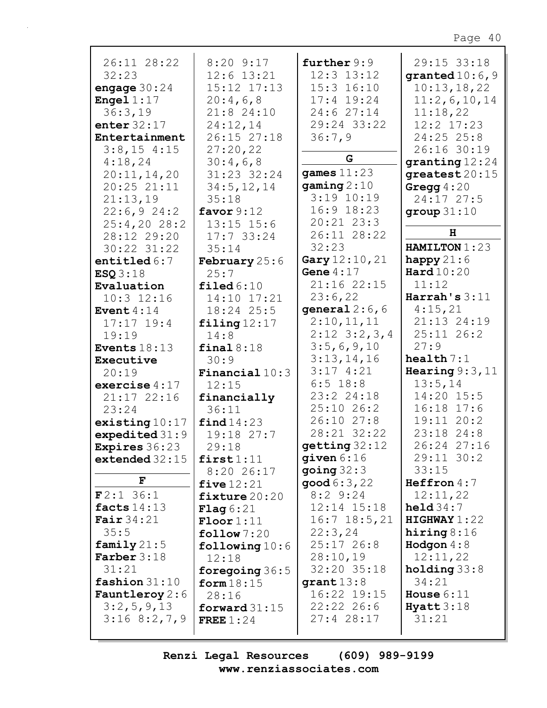| 26:11 28:22             | $8:20$ $9:17$            | further 9:9               | 29:15 33:18               |
|-------------------------|--------------------------|---------------------------|---------------------------|
| 32:23                   | $12:6$ $13:21$           | $12:3$ $13:12$            | granted $10:6,9$          |
| engage $30:24$          | $15:12$ $17:13$          | $15:3$ $16:10$            | 10:13,18,22               |
| Engel $1:17$            | 20:4,6,8                 | $17:4$ 19:24              | 11:2,6,10,14              |
| 36:3,19                 | 21:8 24:10               | 24:6 27:14                | 11:18,22                  |
| enter $32:17$           | 24:12,14                 | 29:24 33:22               | $12:2$ $17:23$            |
| Entertainment           | 26:15 27:18              | 36:7,9                    | $24:25$ 25:8              |
| $3:8,15$ 4:15           | 27:20,22                 |                           | 26:16 30:19               |
| 4:18,24                 | 30:4,6,8                 | G                         | granting 12:24            |
| 20:11,14,20             | 31:23 32:24              | games $11:23$             | greatest 20:15            |
| 20:25 21:11             | 34:5, 12, 14             | gamma2:10                 | Gregg $4:20$              |
| 21:13,19                | 35:18                    | $3:19$ $10:19$            | 24:17 27:5                |
| 22:6,924:2              | favor $9:12$             | $16:9$ $18:23$            | group $31:10$             |
| $25:4,20$ 28:2          | $13:15$ $15:6$           | $20:21$ $23:3$            |                           |
| 28:12 29:20             | 17:733:24                | 26:11 28:22               | н                         |
| 30:22 31:22             | 35:14                    | 32:23                     | HAMILTON 1:23             |
| entitled $6:7$          | February 25:6            | Gary 12:10, 21            | happy $21:6$              |
| ESQ3:18                 | 25:7                     | Gene $4:17$               | $\texttt{Hard10:20}$      |
| Evaluation              | $\texttt{filed} 6:10$    | 21:16 22:15               | 11:12                     |
| $10:3$ $12:16$          | 14:10 17:21              | 23:6,22                   | $\texttt{Harrah's } 3:11$ |
| Event $4:14$            | $18:24$ 25:5             | general $2:6$ , $6$       | 4:15,21                   |
| $17:17$ 19:4            | $\texttt{filling}$ 12:17 | 2:10,11,11                | 21:13 24:19               |
| 19:19                   | 14:8                     | $2:12 \quad 3:2,3,4$      | $25:11$ $26:2$            |
| Events $18:13$          | final $8:18$             | 3:5,6,9,10                | 27:9                      |
| Executive               | 30:9                     | 3:13,14,16                | health $7:1$              |
| 20:19                   | <b>Financial</b> $10:3$  | 3:174:21                  | Hearing $9:3,11$          |
| exercise $4:17$         | 12:15                    | $6:5$ 18:8                | 13:5,14                   |
| $21:17$ $22:16$         | financially              | 23:2 24:18                | 14:20 15:5                |
| 23:24                   | 36:11                    | $25:10$ 26:2              | $16:18$ 17:6              |
| existing $10:17$        | find 14:23               | 26:10 27:8                | 19:11 20:2                |
| expedited $31:9$        | 19:18 27:7               | 28:21 32:22               | 23:18 24:8                |
| <b>Expires</b> 36:23    | 29:18                    | $q$ etting $32:12$        | 26:24 27:16               |
| extended $32:15$        | first1:11                | given $6:16$              | 29:11 30:2                |
|                         | 8:2026:17                | going $32:3$              | 33:15                     |
| F                       | five $12:21$             | $\mathsf{good}\,6:3$ , 22 | Heffron $4:7$             |
| F2:136:1                | fixture 20:20            | $8:2$ 9:24                | 12:11,22                  |
| facts $14:13$           | <b>Flag</b> $6:21$       | 12:14 15:18               | $\text{held } 34:7$       |
| Fair $34:21$            | $\text{Floor}1:11$       | $16:7$ $18:5$ , 21        | HIGHWAY 1:22              |
| 35:5                    | $\texttt{follow} 7:20$   | 22:3,24                   | hiring $8:16$             |
| family $21:5$           | following $10:6$         | $25:17$ 26:8              | Hodgon $4:8$              |
| <b>Farber</b> $3:18$    | 12:18                    | 28:10,19                  | 12:11,22                  |
| 31:21                   | foregoing $36:5$         | 32:20 35:18               | holding $33:8$            |
| fashion $31:10$         | form $18:15$             | grant $13:8$              | 34:21                     |
| <b>Fauntleroy</b> $2:6$ | 28:16                    | 16:22 19:15               | House $6:11$              |
| 3:2,5,9,13              | forward $31:15$          | $22:22 \ 26:6$            | Hyatt3:18                 |
| 3:168:2,7,9             | FREE $1:24$              | $27:4$ 28:17              | 31:21                     |
|                         |                          |                           |                           |
|                         |                          |                           |                           |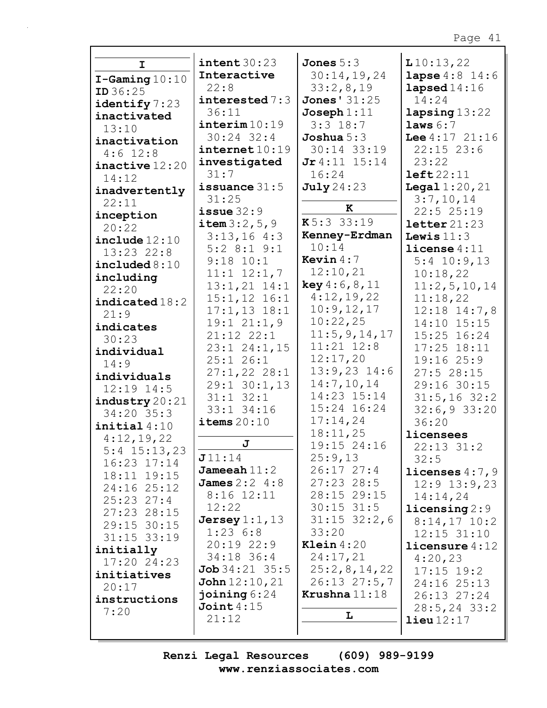|                  | $\texttt{intent} 30:23$         | Jones $5:3$         |                           |
|------------------|---------------------------------|---------------------|---------------------------|
| I                |                                 |                     | 110:13,22                 |
| $I-Gaming 10:10$ | Interactive                     | 30:14,19,24         | <b>lapse</b> $4:8$ 14:6   |
| ID 36:25         | 22:8                            | 33:2,8,19           | $\texttt{lapped14:16}$    |
| identify 7:23    | interested 7:3                  | <b>Jones' 31:25</b> | 14:24                     |
| inactivated      | 36:11                           | $Joseph 1:11$       | lapsing 13:22             |
| 13:10            | $\texttt{interim} 10:19$        | $3:3$ 18:7          | laws 6:7                  |
| inactivation     | $30:24$ 32:4                    | <b>Joshua</b> $5:3$ | <b>Lee</b> $4:17$ $21:16$ |
| $4:6$ 12:8       | $\texttt{internet10:19}$        | 30:14 33:19         | $22:15$ 23:6              |
| inactive 12:20   | investigated                    | $Jr4:11$ 15:14      | 23:22                     |
| 14:12            | 31:7                            | 16:24               | left22:11                 |
| inadvertently    | issuance $31:5$                 | <b>July</b> 24:23   | <b>Legal</b> $1:20,21$    |
| 22:11            | 31:25                           |                     | 3:7,10,14                 |
| inception        | $i$ ssue $32:9$                 | K                   | 22:525:19                 |
| 20:22            | item 3:2, 5, 9                  | K5:333:19           | $\texttt{letter}21:23$    |
| include 12:10    | $3:13,16$ 4:3                   | Kenney-Erdman       | Lewis $11:3$              |
| 13:23 22:8       | $5:2$ 8:1 9:1                   | 10:14               | $l$ icense $4:11$         |
| included $8:10$  | $9:18$ $10:1$                   | Kevin $4:7$         | $5:4$ 10:9,13             |
| including        | $11:1$ $12:1,7$                 | 12:10,21            | 10:18,22                  |
| 22:20            | $13:1,21$ $14:1$                | key 4:6, 8, 11      | 11:2,5,10,14              |
| indicated $18:2$ | $15:1,12$ $16:1$                | 4:12,19,22          | 11:18,22                  |
| 21:9             | $17:1, 13$ $18:1$               | 10:9, 12, 17        | $12:18$ $14:7,8$          |
| indicates        | 19:121:1,9                      | 10:22,25            | 14:10 15:15               |
| 30:23            | $21:12$ $22:1$                  | 11:5, 9, 14, 17     | 15:25 16:24               |
| individual       | $23:1$ $24:1$ , 15              | $11:21$ $12:8$      | $17:25$ $18:11$           |
| 14:9             | 25:126:1                        | 12:17,20            | 19:1625:9                 |
| individuals      | $27:1,22$ 28:1                  | $13:9,23$ 14:6      | 27:528:15                 |
| 12:19 14:5       | $29:1$ $30:1$ , 13              | 14:7,10,14          | 29:16 30:15               |
| industry 20:21   | $31:1$ $32:1$                   | 14:23 15:14         | $31:5, 16$ 32:2           |
| 34:20 35:3       | 33:1 34:16                      | 15:24 16:24         | 32:6,933:20               |
| $initial$ 4:10   | $i$ tems $20:10$                | 17:14,24            | 36:20                     |
| 4:12,19,22       |                                 | 18:11,25            | licensees                 |
| $5:4$ 15:13,23   | J                               | 19:15 24:16         | $22:13$ $31:2$            |
| $16:23$ $17:14$  | J11:14                          | 25:9,13             | 32:5                      |
| 18:11 19:15      | Jameeah $11:2$                  | $26:17$ $27:4$      | licenses $4:7,9$          |
| 24:16 25:12      | <b>James</b> $2:2 \ 4:8$        | $27:23$ 28:5        | $12:9$ $13:9$ , 23        |
| $25:23$ $27:4$   | $8:16$ 12:11                    | 28:15 29:15         | 14:14,24                  |
|                  | 12:22                           | $30:15$ $31:5$      | $licensing$ $2:9$         |
| 27:23 28:15      | Jersey $1:1$ , $13$             | $31:15$ $32:2$ , 6  | $8:14,17$ 10:2            |
| 29:15 30:15      | 1:236:8                         | 33:20               | $12:15$ $31:10$           |
| $31:15$ $33:19$  | $20:19$ $22:9$                  | Klein $4:20$        | <b>licensure</b> $4:12$   |
| initially        | 34:18 36:4                      | 24:17,21            | 4:20,23                   |
| 17:20 24:23      | $\textbf{Job} 34:21 \quad 35:5$ | 25:2,8,14,22        | $17:15$ $19:2$            |
| initiatives      | John $12:10, 21$                | $26:13$ $27:5,7$    | $24:16$ $25:13$           |
| 20:17            | joining $6:24$                  | Krushna $11:18$     | 26:13 27:24               |
| instructions     | Joint $4:15$                    |                     | $28:5, 24$ 33:2           |
| 7:20             | 21:12                           | L                   | $\text{lieu}$ $12:17$     |
|                  |                                 |                     |                           |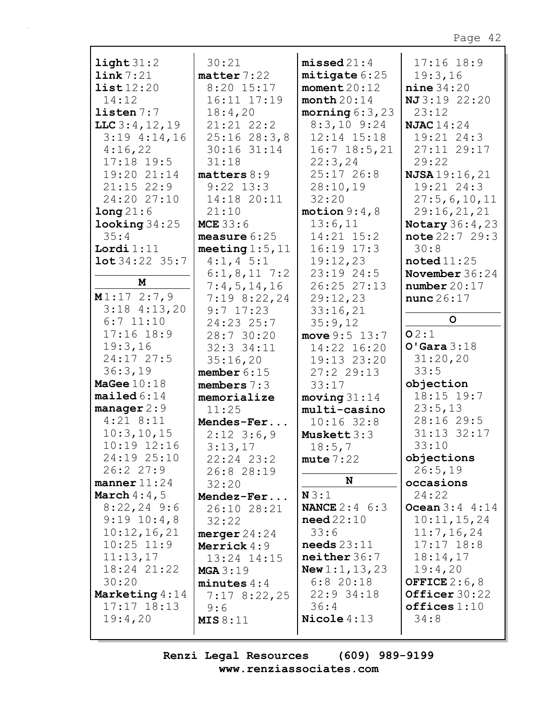| $\text{light }31:2$            | 30:21                    | $missed$ $21:4$                     | $17:16$ $18:9$         |
|--------------------------------|--------------------------|-------------------------------------|------------------------|
| link 7:21                      | $\texttt{matter}$ 7:22   | mitigate 6:25                       | 19:3,16                |
| list12:20                      | $8:20$ 15:17             | moment20:12                         | $nine$ 34:20           |
| 14:12                          | 16:11 17:19              | month $20:14$                       | NJ 3:19 22:20          |
| listen 7:7                     | 18:4,20                  | morning $6:3,23$                    | 23:12                  |
|                                | $21:21$ $22:2$           | $8:3,10$ 9:24                       | NJAC $14:24$           |
| $LLC$ 3:4, 12, 19              |                          | $12:14$ $15:18$                     |                        |
| $3:19$ $4:14,16$               | 25:1628:3,8              |                                     | 19:21 24:3             |
| 4:16,22                        | $30:16$ $31:14$<br>31:18 | $16:7$ 18:5,21                      | 27:11 29:17            |
| $17:18$ 19:5                   |                          | 22:3,24                             | 29:22                  |
| 19:20 21:14                    | matters 8:9              | $25:17$ 26:8                        | <b>NJSA</b> 19:16, 21  |
| $21:15$ 22:9                   | $9:22$ 13:3              | 28:10,19                            | 19:21 24:3             |
| 24:20 27:10                    | 14:18 20:11              | 32:20                               | 27:5,6,10,11           |
| long21:6                       | 21:10                    | motion $9:4,8$                      | 29:16,21,21            |
| $\text{looking } 34:25$        | <b>MCE</b> 33:6          | 13:6,11                             | <b>Notary</b> 36:4, 23 |
| 35:4                           | measure $6:25$           | 14:21 15:2                          | note 22:729:3          |
| Lordi $1:11$                   | meeting $1:5$ , $11$     | $16:19$ $17:3$                      | 30:8                   |
| $\texttt{lot34:22} \quad 35:7$ | $4:1, 4 \ 5:1$           | 19:12,23                            | $\texttt{noted}11:25$  |
| M                              | $6:1,8,11$ 7:2           | 23:19 24:5                          | November $36:24$       |
|                                | 7:4,5,14,16              | 26:25 27:13                         | number20:17            |
| M1:172:7,9                     | $7:19$ 8:22,24           | 29:12,23                            | nunc26:17              |
| $3:18$ 4:13,20                 | $9:7$ 17:23              | 33:16,21                            | $\mathsf{o}$           |
| $6:7$ 11:10                    | 24:23 25:7               | 35:9,12                             |                        |
| $17:16$ $18:9$                 | 28:7 30:20               | move $9:5$ 13:7                     | O2:1                   |
| 19:3,16                        | 32:3 34:11               | 14:22 16:20                         | $O'$ Gara $3:18$       |
| 24:17 27:5                     | 35:16,20                 | 19:13 23:20                         | 31:20,20               |
| 36:3,19                        | member $6:15$            | 27:2 29:13                          | 33:5                   |
| MaGee $10:18$                  | members $7:3$            | 33:17                               | objection              |
| mailed 6:14                    | memorialize              | moving $31:14$                      | $18:15$ $19:7$         |
| manager $2:9$                  | 11:25                    | multi-casino                        | 23:5,13                |
| $4:21$ 8:11                    | Mendes-Fer               | $10:16$ 32:8                        | 28:16 29:5             |
| 10:3, 10, 15                   | $2:12$ 3:6,9             | Muskett 3:3                         | 31:13 32:17            |
| $10:19$ $12:16$                | 3:13,17                  | 18:5,7                              | 33:10                  |
| 24:19 25:10                    | 22:24 23:2               | mute $7:22$                         | objections             |
| 26:227:9                       | 26:8 28:19               | N                                   | 26:5,19                |
| manner $11:24$                 | 32:20                    |                                     | occasions              |
| March $4:4$ , 5                | Mendez-Fer               | N3:1                                | 24:22                  |
| $8:22,24$ 9:6                  | 26:10 28:21              | <b>NANCE</b> 2:4 6:3                | Ocean $3:4$ 4:14       |
| $9:19$ $10:4,8$                | 32:22                    | need22:10                           | 10:11,15,24            |
| 10:12,16,21                    | merger $24:24$           | 33:6                                | 11:7, 16, 24           |
| $10:25$ $11:9$                 | Merrick 4:9              | $\boldsymbol{\mathsf{needs}}$ 23:11 | $17:17$ $18:8$         |
| 11:13,17                       | 13:24 14:15              | neither 36:7                        | 18:14,17               |
| 18:24 21:22                    | MGA3:19                  | <b>New 1:1, 13, 23</b>              | 19:4,20                |
| 30:20                          | minutes $4:4$            | $6:8$ 20:18                         | OFFICE $2:6,8$         |
| Marketing $4:14$               | 7:178:22,25              | $22:9$ 34:18                        | Officer 30:22          |
| $17:17$ $18:13$                | 9:6                      | 36:4                                | offices $1:10$         |
| 19:4,20                        | MIS 8:11                 | Nicole $4:13$                       | 34:8                   |
|                                |                          |                                     |                        |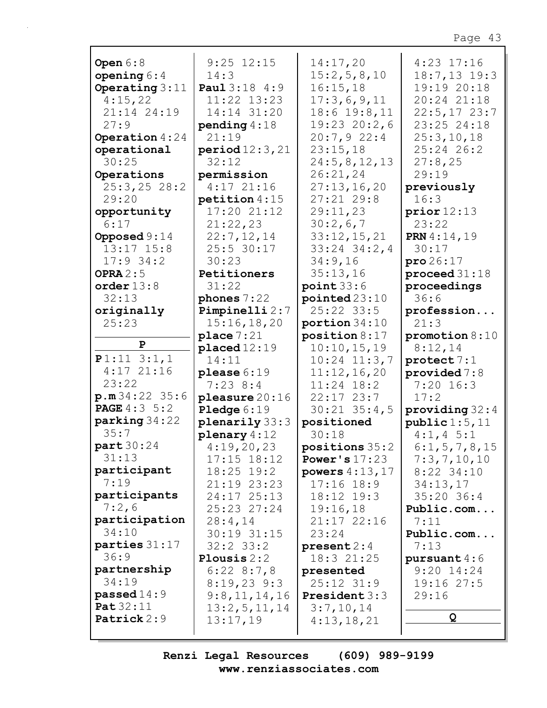| Open $6:8$              | $9:25$ 12:15     | 14:17,20           | $4:23$ 17:16                           |
|-------------------------|------------------|--------------------|----------------------------------------|
| opening $6:4$           | 14:3             | 15:2,5,8,10        | $18:7, 13$ 19:3                        |
| Operating $3:11$        | Paul 3:18 4:9    | 16:15,18           | 19:19 20:18                            |
| 4:15,22                 | 11:22 13:23      | 17:3,6,9,11        | 20:24 21:18                            |
| 21:14 24:19             | 14:14 31:20      | $18:6$ $19:8,11$   | 22:5,1723:7                            |
| 27:9                    | pending $4:18$   | 19:23 20:2,6       | 23:25 24:18                            |
| Operation $4:24$        | 21:19            | 20:7,922:4         | 25:3,10,18                             |
| operational             | period12:3,21    | 23:15,18           | 25:24 26:2                             |
| 30:25                   | 32:12            |                    |                                        |
|                         |                  | 24:5, 8, 12, 13    | 27:8,25                                |
| Operations              | permission       | 26:21,24           | 29:19                                  |
| 25:3, 25 28:2           | $4:17$ 21:16     | 27:13,16,20        | previously                             |
| 29:20                   | petition $4:15$  | 27:21 29:8         | 16:3                                   |
| opportunity             | 17:20 21:12      | 29:11,23           | prior12:13                             |
| 6:17                    | 21:22,23         | 30:2,6,7           | 23:22                                  |
| Opposed $9:14$          | 22:7,12,14       | 33:12,15,21        | <b>PRN</b> 4:14,19                     |
| $13:17$ $15:8$          | 25:5 30:17       | $33:24$ $34:2$ , 4 | 30:17                                  |
| $17:9$ 34:2             | 30:23            | 34:9,16            | $\texttt{pro}\,26\!:\!17$              |
| OPRA $2:5$              | Petitioners      | 35:13,16           | $\boldsymbol{\texttt{proceed}}\,31:18$ |
| order $13:8$            | 31:22            | point 33:6         | proceedings                            |
| 32:13                   | phones $7:22$    | pointed23:10       | 36:6                                   |
| originally              | Pimpinelli 2:7   | $25:22$ 33:5       | profession                             |
| 25:23                   | 15:16, 18, 20    | portion $34:10$    | 21:3                                   |
|                         | place $7:21$     | position 8:17      | promotion $8:10$                       |
| $\mathbf{P}$            | placed 12:19     | 10:10, 15, 19      | 8:12,14                                |
| $P1:11$ 3:1,1           | 14:11            | $10:24$ $11:3,7$   | protect 7:1                            |
| $4:17$ 21:16            |                  |                    |                                        |
| 23:22                   | please $6:19$    | 11:12,16,20        | provided $7:8$                         |
|                         | $7:23$ 8:4       | $11:24$ 18:2       | $7:20$ 16:3                            |
| p.m.34:22 35:6          | pleasure $20:16$ | $22:17$ $23:7$     | 17:2                                   |
| <b>PAGE</b> $4:3 \ 5:2$ | Pledge 6:19      | $30:21$ $35:4,5$   | providing $32:4$                       |
| parking 34:22           | plenarily 33:3   | positioned         | public 1:5, 11                         |
| 35:7                    | plenary $4:12$   | 30:18              | $4:1, 4 \ 5:1$                         |
| part30:24               | 4:19,20,23       | positions 35:2     | 6:1, 5, 7, 8, 15                       |
| 31:13                   | $17:15$ $18:12$  | Power's $17:23$    | 7:3,7,10,10                            |
| participant             | $18:25$ $19:2$   | powers $4:13,17$   | $8:22$ 34:10                           |
| 7:19                    | 21:19 23:23      | $17:16$ $18:9$     | 34:13,17                               |
| participants            | 24:17 25:13      | 18:12 19:3         | $35:20$ 36:4                           |
| 7:2,6                   | 25:23 27:24      | 19:16,18           | Public.com                             |
| participation           | 28:4,14          | 21:17 22:16        | 7:11                                   |
| 34:10                   | 30:19 31:15      | 23:24              | Public.com                             |
| parties 31:17           | $32:2$ $33:2$    | present 2:4        | 7:13                                   |
| 36:9                    | Plousis $2:2$    | 18:3 21:25         | pursuant $4:6$                         |
| partnership             | 6:228:7,8        | presented          | $9:20$ 14:24                           |
| 34:19                   | $8:19,23$ 9:3    | 25:12 31:9         | 19:16 27:5                             |
| <b>passed</b> $14:9$    |                  | President 3:3      | 29:16                                  |
| Pat 32:11               | 9:8,11,14,16     |                    |                                        |
|                         | 13:2,5,11,14     | 3:7,10,14          | Q                                      |
| Patrick 2:9             | 13:17,19         | 4:13,18,21         |                                        |
|                         |                  |                    |                                        |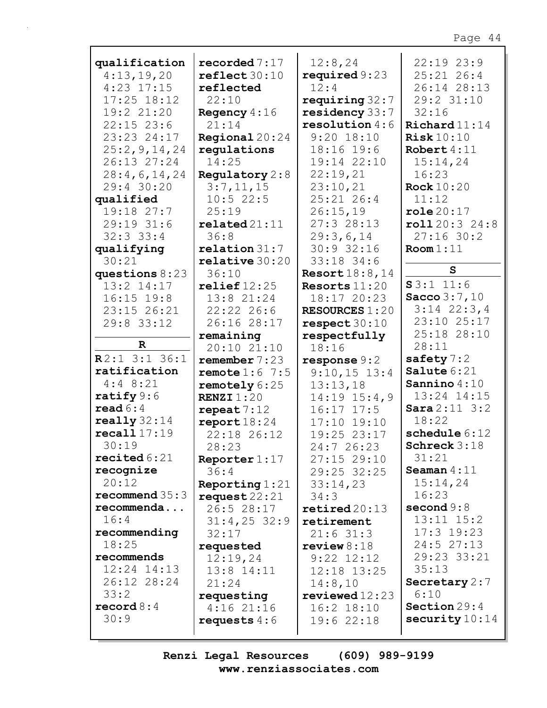| qualification                                                                                              | recorded $7:17$                                                                                                 | 12:8,24                                                                                                                             | 22:19 23:9                                                                                        |
|------------------------------------------------------------------------------------------------------------|-----------------------------------------------------------------------------------------------------------------|-------------------------------------------------------------------------------------------------------------------------------------|---------------------------------------------------------------------------------------------------|
| 4:13,19,20                                                                                                 | $\texttt{reflect}30:10$                                                                                         | required $9:23$                                                                                                                     | $25:21$ 26:4                                                                                      |
| $4:23$ $17:15$                                                                                             | reflected                                                                                                       | 12:4                                                                                                                                | 26:14 28:13                                                                                       |
| $17:25$ $18:12$                                                                                            | 22:10                                                                                                           | requiring $32:7$                                                                                                                    | 29:2 31:10                                                                                        |
| 19:2 21:20                                                                                                 | Regency $4:16$                                                                                                  | residency 33:7                                                                                                                      | 32:16                                                                                             |
| $22:15$ 23:6                                                                                               | 21:14                                                                                                           | resolution $4:6$                                                                                                                    | Richard $11:14$                                                                                   |
| 23:23 24:17                                                                                                | Regional 20:24                                                                                                  | $9:20$ 18:10                                                                                                                        | Risk10:10                                                                                         |
| 25:2, 9, 14, 24                                                                                            | regulations                                                                                                     | 18:16 19:6                                                                                                                          | Robert $4:11$                                                                                     |
| 26:13 27:24                                                                                                | 14:25                                                                                                           | 19:14 22:10                                                                                                                         | 15:14,24                                                                                          |
| 28:4,6,14,24                                                                                               | Regulatory $2:8$                                                                                                | 22:19,21                                                                                                                            | 16:23                                                                                             |
| 29:4 30:20                                                                                                 | 3:7,11,15                                                                                                       | 23:10,21                                                                                                                            | <b>Rock</b> 10:20                                                                                 |
| qualified                                                                                                  | 10:522:5                                                                                                        | $25:21$ 26:4                                                                                                                        | 11:12                                                                                             |
| 19:18 27:7                                                                                                 | 25:19                                                                                                           | 26:15,19                                                                                                                            | $\texttt{role20:17}$                                                                              |
| $29:19$ 31:6                                                                                               | related21:11                                                                                                    | 27:328:13                                                                                                                           | roll20:324:8<br>$27:16$ 30:2                                                                      |
| $32:3$ $33:4$                                                                                              | 36:8                                                                                                            | 29:3,6,14                                                                                                                           | Room 1:11                                                                                         |
| qualifying                                                                                                 | relation 31:7                                                                                                   | 30:932:16                                                                                                                           |                                                                                                   |
| 30:21<br>questions $8:23$<br>$13:2$ $14:17$<br>$16:15$ $19:8$<br>23:15 26:21<br>29:8 33:12<br>$\mathbf{R}$ | relative 30:20<br>36:10<br>relief12:25<br>13:8 21:24<br>$22:22$ 26:6<br>26:16 28:17<br>remaining<br>20:10 21:10 | 33:18 34:6<br>Resort $18:8,14$<br>Resorts $11:20$<br>18:17 20:23<br><b>RESOURCES 1:20</b><br>respect 30:10<br>respectfully<br>18:16 | S<br>S3:1 11:6<br><b>Sacco</b> $3:7,10$<br>$3:14$ $22:3,4$<br>23:10 25:17<br>25:18 28:10<br>28:11 |
| $R2:1$ 3:1 36:1                                                                                            | remember 7:23                                                                                                   | response $9:2$                                                                                                                      | safety $7:2$                                                                                      |
| ratification                                                                                               | remote $1:6$ 7:5                                                                                                | $9:10,15$ 13:4                                                                                                                      | Salute 6:21                                                                                       |
| $4:4$ 8:21                                                                                                 | remotely 6:25                                                                                                   | 13:13,18                                                                                                                            | Sannino $4:10$                                                                                    |
| ratify $9:6$                                                                                               | <b>RENZI</b> $1:20$                                                                                             | 14:19 15:4,9                                                                                                                        | 13:24 14:15                                                                                       |
| read $6:4$                                                                                                 | repeat $7:12$                                                                                                   | $16:17$ $17:5$                                                                                                                      | Sara2:11 3:2                                                                                      |
| really $32:14$                                                                                             | report $18:24$                                                                                                  | 17:10 19:10                                                                                                                         | 18:22                                                                                             |
| recall17:19                                                                                                | 22:18 26:12                                                                                                     | 19:25 23:17                                                                                                                         | schedule 6:12                                                                                     |
| 30:19                                                                                                      | 28:23                                                                                                           | 24:7 26:23                                                                                                                          | Schreck 3:18                                                                                      |
| recited $6:21$                                                                                             | Reporter $1:17$                                                                                                 | 27:15 29:10                                                                                                                         | 31:21                                                                                             |
| recognize                                                                                                  | 36:4                                                                                                            | 29:25 32:25                                                                                                                         | Seaman $4:11$                                                                                     |
| 20:12                                                                                                      | Reporting $1:21$                                                                                                | 33:14,23                                                                                                                            | 15:14,24                                                                                          |
| recommend $35:3$                                                                                           | request $22:21$                                                                                                 | 34:3                                                                                                                                | 16:23                                                                                             |
| recommenda                                                                                                 | 26:528:17                                                                                                       | retired20:13                                                                                                                        | second $9:8$                                                                                      |
| 16:4                                                                                                       | $31:4,25$ 32:9                                                                                                  | retirement                                                                                                                          | $13:11$ $15:2$                                                                                    |
| recommending                                                                                               | 32:17                                                                                                           | $21:6$ 31:3                                                                                                                         | $17:3$ $19:23$                                                                                    |
| 18:25                                                                                                      | requested                                                                                                       | review $8:18$                                                                                                                       | 24:527:13                                                                                         |
| recommends                                                                                                 | 12:19,24                                                                                                        | $9:22$ $12:12$                                                                                                                      | 29:23 33:21                                                                                       |
| $12:24$ $14:13$                                                                                            | 13:8 14:11                                                                                                      | 12:18 13:25                                                                                                                         | 35:13                                                                                             |
| 26:12 28:24                                                                                                | 21:24                                                                                                           | 14:8,10                                                                                                                             | Secretary $2:7$                                                                                   |
| 33:2                                                                                                       | requesting                                                                                                      | reviewed12:23                                                                                                                       | 6:10                                                                                              |
| record $8:4$                                                                                               | $4:16$ 21:16                                                                                                    | $16:2$ $18:10$                                                                                                                      | Section $29:4$                                                                                    |
| 30:9                                                                                                       | requests $4:6$                                                                                                  | 19:6 22:18                                                                                                                          | security $10:14$                                                                                  |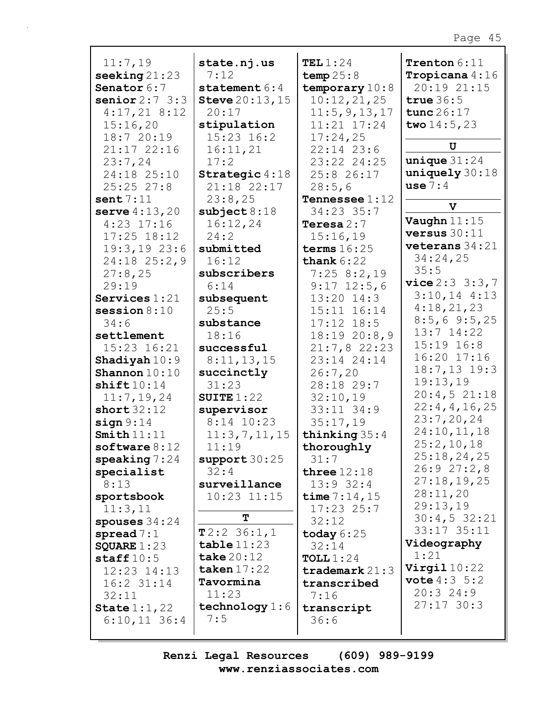| 11:7,19<br>seeking $21:23$<br>Senator 6:7<br>senior $2:7$ 3:3<br>$4:17,21$ 8:12<br>15:16,20<br>18:7 20:19<br>21:17 22:16<br>23:7,24<br>24:18 25:10 | state.nj.us<br>7:12<br>statement $6:4$<br><b>Steve</b> 20:13, 15<br>20:17<br>stipulation<br>15:23 16:2<br>16:11,21<br>17:2<br>Strategic $4:18$ | TEL $1:24$<br>temp $25:8$<br>temporary $10:8$<br>10:12,21,25<br>11:5, 9, 13, 17<br>11:21 17:24<br>17:24,25<br>$22:14$ $23:6$<br>23:22 24:25<br>25:8 26:17 | Trenton 6:11<br><b>Tropicana</b> $4:16$<br>20:19 21:15<br>true $36:5$<br>tunc 26:17<br>two $14:5,23$<br>U<br>unique $31:24$<br>$\texttt{uniquely} 30:18$ |
|----------------------------------------------------------------------------------------------------------------------------------------------------|------------------------------------------------------------------------------------------------------------------------------------------------|-----------------------------------------------------------------------------------------------------------------------------------------------------------|----------------------------------------------------------------------------------------------------------------------------------------------------------|
| $25:25$ $27:8$                                                                                                                                     | 21:18 22:17                                                                                                                                    | 28:5,6                                                                                                                                                    | use $7:4$                                                                                                                                                |
| sent7:11<br>serve $4:13,20$                                                                                                                        | 23:8,25                                                                                                                                        | <b>Tennessee</b> $1:12$<br>34:23 35:7                                                                                                                     | $\mathbf v$                                                                                                                                              |
| $4:23$ 17:16                                                                                                                                       | $\texttt{subject} 8:18$<br>16:12,24                                                                                                            | Teresa $2:7$                                                                                                                                              | Vaughn $11:15$                                                                                                                                           |
| $17:25$ $18:12$                                                                                                                                    | 24:2                                                                                                                                           | 15:16,19                                                                                                                                                  | versus $30:11$                                                                                                                                           |
| 19:3,1923:6                                                                                                                                        | submitted                                                                                                                                      | terms $16:25$                                                                                                                                             | veterans $34:21$                                                                                                                                         |
| 24:18 25:2,9                                                                                                                                       | 16:12                                                                                                                                          | thank $6:22$                                                                                                                                              | 34:24,25                                                                                                                                                 |
| 27:8,25                                                                                                                                            | subscribers                                                                                                                                    | 7:258:2,19                                                                                                                                                | 35:5                                                                                                                                                     |
| 29:19                                                                                                                                              | 6:14                                                                                                                                           | $9:17$ 12:5,6                                                                                                                                             | vice 2:3 3:3,7                                                                                                                                           |
| Services $1:21$                                                                                                                                    | subsequent                                                                                                                                     | $13:20$ $14:3$                                                                                                                                            | $3:10,14$ 4:13                                                                                                                                           |
| session $8:10$                                                                                                                                     | 25:5                                                                                                                                           | 15:11 16:14                                                                                                                                               | 4:18,21,23                                                                                                                                               |
| 34:6                                                                                                                                               | substance                                                                                                                                      | $17:12$ $18:5$                                                                                                                                            | $8:5,6$ 9:5,25                                                                                                                                           |
| settlement                                                                                                                                         | 18:16                                                                                                                                          | 18:1920:8,9                                                                                                                                               | $13:7$ $14:22$                                                                                                                                           |
| 15:23 16:21                                                                                                                                        | successful                                                                                                                                     | $21:7,8$ 22:23                                                                                                                                            | $15:19$ $16:8$                                                                                                                                           |
| <b>Shadiyah</b> $10:9$                                                                                                                             | 8:11,13,15                                                                                                                                     | 23:14 24:14                                                                                                                                               | 16:20 17:16                                                                                                                                              |
| Shannon $10:10$                                                                                                                                    | succinctly                                                                                                                                     | 26:7,20                                                                                                                                                   | $18:7, 13$ 19:3                                                                                                                                          |
| shift10:14                                                                                                                                         | 31:23                                                                                                                                          | 28:18 29:7                                                                                                                                                | 19:13,19                                                                                                                                                 |
| 11:7, 19, 24                                                                                                                                       | SUITE $1:22$                                                                                                                                   | 32:10,19                                                                                                                                                  | 20:4,521:18                                                                                                                                              |
| short $32:12$                                                                                                                                      | supervisor                                                                                                                                     | 33:11 34:9                                                                                                                                                | 22:4,4,16,25                                                                                                                                             |
| sign 9:14                                                                                                                                          | $8:14$ 10:23                                                                                                                                   | 35:17,19                                                                                                                                                  | 23:7,20,24                                                                                                                                               |
| Smith $11:11$                                                                                                                                      | 11:3,7,11,15                                                                                                                                   | thinking $35:4$                                                                                                                                           | 24:10, 11, 18<br>25:2,10,18                                                                                                                              |
| software $8:12$                                                                                                                                    | 11:19                                                                                                                                          | thoroughly                                                                                                                                                | 25:18,24,25                                                                                                                                              |
| $\text{speaking } 7:24$                                                                                                                            | support30:25                                                                                                                                   | 31:7                                                                                                                                                      | 26:927:2,8                                                                                                                                               |
| specialist                                                                                                                                         | 32:4                                                                                                                                           | three $12:18$                                                                                                                                             | 27:18,19,25                                                                                                                                              |
| 8:13                                                                                                                                               | surveillance                                                                                                                                   | $13:9$ 32:4                                                                                                                                               | 28:11,20                                                                                                                                                 |
| sportsbook                                                                                                                                         | $10:23$ $11:15$                                                                                                                                | time $7:14,15$                                                                                                                                            | 29:13,19                                                                                                                                                 |
| 11:3,11                                                                                                                                            | T                                                                                                                                              | $17:23$ $25:7$                                                                                                                                            | 30:4,532:21                                                                                                                                              |
| spouses $34:24$<br>spread $7:1$                                                                                                                    | T2:236:1,1                                                                                                                                     | 32:12                                                                                                                                                     | 33:17 35:11                                                                                                                                              |
| SQUARE $1:23$                                                                                                                                      | table11:23                                                                                                                                     | today $6:25$<br>32:14                                                                                                                                     | Videography                                                                                                                                              |
| staff $10:5$                                                                                                                                       | take $20:12$                                                                                                                                   | TOLL $1:24$                                                                                                                                               | 1:21                                                                                                                                                     |
| 12:23 14:13                                                                                                                                        | taken $17:22$                                                                                                                                  | trademark $21:3$                                                                                                                                          | Virgil $10:22$                                                                                                                                           |
| $16:2$ 31:14                                                                                                                                       | Tavormina                                                                                                                                      | transcribed                                                                                                                                               | <b>vote</b> $4:3 \ 5:2$                                                                                                                                  |
| 32:11                                                                                                                                              | 11:23                                                                                                                                          | 7:16                                                                                                                                                      | 20:324:9                                                                                                                                                 |
| State $1:1,22$                                                                                                                                     | technology $1:6$                                                                                                                               | transcript                                                                                                                                                | $27:17$ 30:3                                                                                                                                             |
| $6:10,11$ 36:4                                                                                                                                     | 7:5                                                                                                                                            | 36:6                                                                                                                                                      |                                                                                                                                                          |